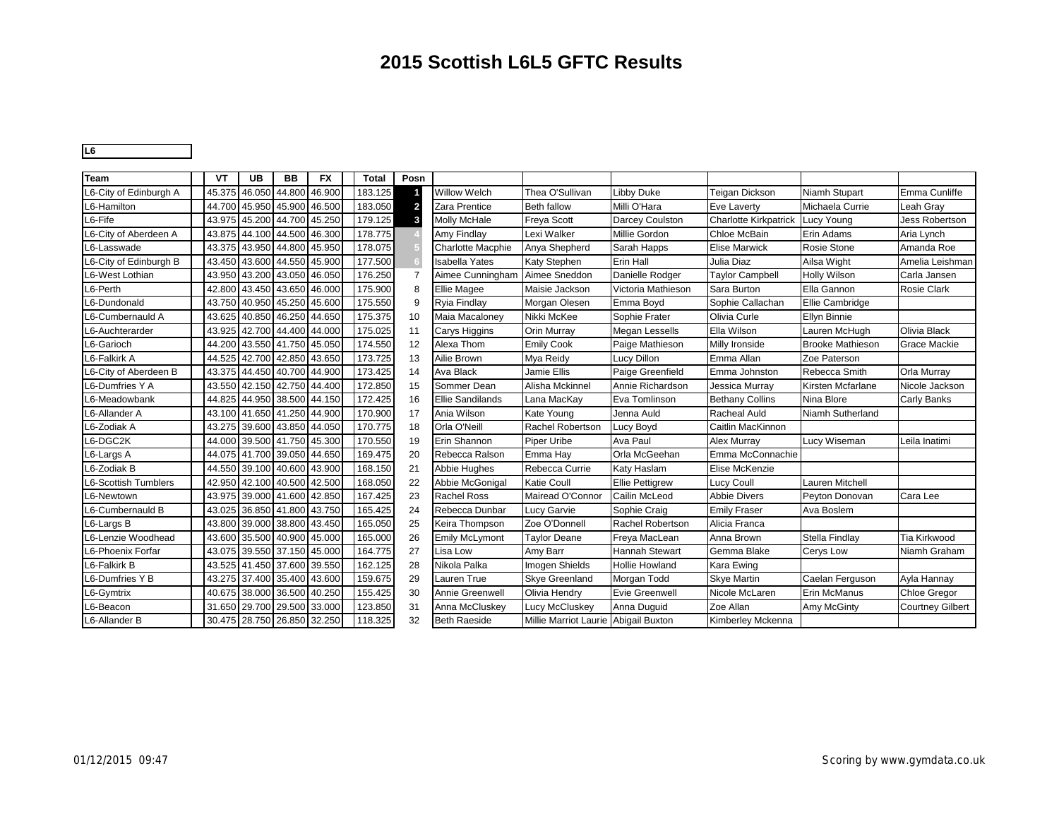#### **2015 Scottish L6L5 GFTC Results**

**L6** 34

| Team                   | VT     | <b>UB</b>     | <b>BB</b>                   | <b>FX</b> | <b>Total</b> | Posn           |                         |                                      |                        |                              |                         |                         |
|------------------------|--------|---------------|-----------------------------|-----------|--------------|----------------|-------------------------|--------------------------------------|------------------------|------------------------------|-------------------------|-------------------------|
| L6-City of Edinburgh A | 45.375 | 46.050        | 44.800                      | 46.900    | 183.125      |                | Willow Welch            | Thea O'Sullivan                      | Libby Duke             | Teigan Dickson               | Niamh Stupart           | Emma Cunliffe           |
| L6-Hamilton            |        |               | 44.700 45.950 45.900 46.500 |           | 183.050      | $\overline{2}$ | Zara Prentice           | Beth fallow                          | Milli O'Hara           | Eve Laverty                  | Michaela Currie         | Leah Gray               |
| L6-Fife                |        | 43.975 45.200 | 44.700 45.250               |           | 179.125      | 3              | <b>Molly McHale</b>     | <b>Freya Scott</b>                   | Darcey Coulston        | <b>Charlotte Kirkpatrick</b> | Lucy Young              | Jess Robertson          |
| L6-City of Aberdeen A  |        |               | 43.875 44.100 44.500 46.300 |           | 178.775      |                | Amy Findlay             | Lexi Walker                          | Millie Gordon          | Chloe McBain                 | Erin Adams              | Aria Lynch              |
| L6-Lasswade            |        |               | 43.375 43.950 44.800 45.950 |           | 178.075      |                | Charlotte Macphie       | Anya Shepherd                        | Sarah Happs            | <b>Elise Marwick</b>         | Rosie Stone             | Amanda Roe              |
| L6-City of Edinburgh B |        |               | 43.450 43.600 44.550 45.900 |           | 177.500      |                | <b>Isabella Yates</b>   | Katy Stephen                         | Erin Hall              | Julia Diaz                   | Ailsa Wight             | Amelia Leishman         |
| L6-West Lothian        |        |               | 43.950 43.200 43.050 46.050 |           | 176.250      | 7              | Aimee Cunningham        | Aimee Sneddon                        | Danielle Rodger        | <b>Taylor Campbell</b>       | <b>Holly Wilson</b>     | Carla Jansen            |
| L6-Perth               |        |               | 42.800 43.450 43.650 46.000 |           | 175.900      | 8              | Ellie Magee             | Maisie Jackson                       | Victoria Mathieson     | Sara Burton                  | Ella Gannon             | <b>Rosie Clark</b>      |
| L6-Dundonald           |        |               | 43.750 40.950 45.250 45.600 |           | 175.550      | 9              | <b>Ryia Findlay</b>     | Morgan Olesen                        | Emma Boyd              | Sophie Callachan             | Ellie Cambridge         |                         |
| L6-Cumbernauld A       | 43.625 |               | 40.850 46.250 44.650        |           | 175.375      | 10             | Maia Macaloney          | Nikki McKee                          | Sophie Frater          | Olivia Curle                 | Ellyn Binnie            |                         |
| L6-Auchterarder        |        |               | 43.925 42.700 44.400 44.000 |           | 175.025      | 11             | Carys Higgins           | Orin Murray                          | <b>Megan Lessells</b>  | Ella Wilson                  | Lauren McHugh           | Olivia Black            |
| L6-Garioch             |        |               | 44.200 43.550 41.750 45.050 |           | 174.550      | 12             | Alexa Thom              | <b>Emily Cook</b>                    | Paige Mathieson        | Milly Ironside               | <b>Brooke Mathieson</b> | <b>Grace Mackie</b>     |
| L6-Falkirk A           |        |               | 44.525 42.700 42.850 43.650 |           | 173.725      | 13             | Ailie Brown             | Mya Reidy                            | Lucy Dillon            | Emma Allan                   | Zoe Paterson            |                         |
| L6-City of Aberdeen B  |        |               | 43.375 44.450 40.700 44.900 |           | 173.425      | 14             | Ava Black               | Jamie Ellis                          | Paige Greenfield       | Emma Johnston                | Rebecca Smith           | Orla Murray             |
| L6-Dumfries Y A        |        |               | 43.550 42.150 42.750 44.400 |           | 172.850      | 15             | Sommer Dean             | Alisha Mckinnel                      | Annie Richardson       | Jessica Murray               | Kirsten Mcfarlane       | Nicole Jackson          |
| L6-Meadowbank          |        |               | 44.825 44.950 38.500 44.150 |           | 172.425      | 16             | <b>Ellie Sandilands</b> | Lana MacKay                          | Eva Tomlinson          | <b>Bethany Collins</b>       | Nina Blore              | <b>Carly Banks</b>      |
| L6-Allander A          |        |               | 43.100 41.650 41.250 44.900 |           | 170.900      | 17             | Ania Wilson             | Kate Young                           | Jenna Auld             | Racheal Auld                 | Niamh Sutherland        |                         |
| L6-Zodiak A            |        |               | 43.275 39.600 43.850 44.050 |           | 170.775      | 18             | Orla O'Neill            | Rachel Robertson                     | Lucy Boyd              | Caitlin MacKinnon            |                         |                         |
| L6-DGC2K               |        |               | 44.000 39.500 41.750 45.300 |           | 170.550      | 19             | Erin Shannon            | Piper Uribe                          | Ava Paul               | <b>Alex Murray</b>           | Lucy Wiseman            | Leila Inatimi           |
| L6-Largs A             |        |               | 44.075 41.700 39.050 44.650 |           | 169.475      | 20             | Rebecca Ralson          | Emma Hay                             | Orla McGeehan          | Emma McConnachie             |                         |                         |
| L6-Zodiak B            |        |               | 44.550 39.100 40.600 43.900 |           | 168.150      | 21             | Abbie Hughes            | Rebecca Currie                       | Katy Haslam            | Elise McKenzie               |                         |                         |
| L6-Scottish Tumblers   |        |               | 42.950 42.100 40.500 42.500 |           | 168.050      | 22             | Abbie McGonigal         | <b>Katie Coull</b>                   | <b>Ellie Pettigrew</b> | Lucy Coull                   | Lauren Mitchell         |                         |
| L6-Newtown             |        |               | 43.975 39.000 41.600 42.850 |           | 167.425      | 23             | <b>Rachel Ross</b>      | Mairead O'Connor                     | Cailin McLeod          | <b>Abbie Divers</b>          | Peyton Donovan          | Cara Lee                |
| L6-Cumbernauld B       | 43.025 |               | 36.850 41.800 43.750        |           | 165.425      | 24             | Rebecca Dunbar          | Lucy Garvie                          | Sophie Craig           | <b>Emily Fraser</b>          | Ava Boslem              |                         |
| L6-Largs B             |        | 43.800 39.000 | 38.800 43.450               |           | 165.050      | 25             | Keira Thompson          | Zoe O'Donnell                        | Rachel Robertson       | Alicia Franca                |                         |                         |
| L6-Lenzie Woodhead     |        |               | 43.600 35.500 40.900 45.000 |           | 165.000      | 26             | <b>Emily McLymont</b>   | <b>Taylor Deane</b>                  | Freya MacLean          | Anna Brown                   | Stella Findlay          | Tia Kirkwood            |
| L6-Phoenix Forfar      |        |               | 43.075 39.550 37.150 45.000 |           | 164.775      | 27             | Lisa Low                | Amy Barr                             | Hannah Stewart         | Gemma Blake                  | Cerys Low               | Niamh Graham            |
| L6-Falkirk B           |        |               | 43.525 41.450 37.600 39.550 |           | 162.125      | 28             | Nikola Palka            | Imogen Shields                       | <b>Hollie Howland</b>  | Kara Ewing                   |                         |                         |
| L6-Dumfries Y B        |        | 43.275 37.400 | 35.400                      | 43.600    | 159.675      | 29             | <b>Lauren True</b>      | Skye Greenland                       | Morgan Todd            | <b>Skve Martin</b>           | Caelan Ferguson         | Ayla Hannay             |
| L6-Gymtrix             |        |               | 40.675 38.000 36.500 40.250 |           | 155.425      | 30             | Annie Greenwell         | Olivia Hendry                        | <b>Evie Greenwell</b>  | Nicole McLaren               | <b>Erin McManus</b>     | <b>Chloe Gregor</b>     |
| L6-Beacon              |        |               | 31.650 29.700 29.500 33.000 |           | 123.850      | 31             | Anna McCluskey          | Lucy McCluskey                       | Anna Duguid            | Zoe Allan                    | Amy McGinty             | <b>Courtney Gilbert</b> |
| L6-Allander B          |        |               | 30.475 28.750 26.850 32.250 |           | 118.325      | 32             | <b>Beth Raeside</b>     | Millie Marriot Laurie Abigail Buxton |                        | Kimberley Mckenna            |                         |                         |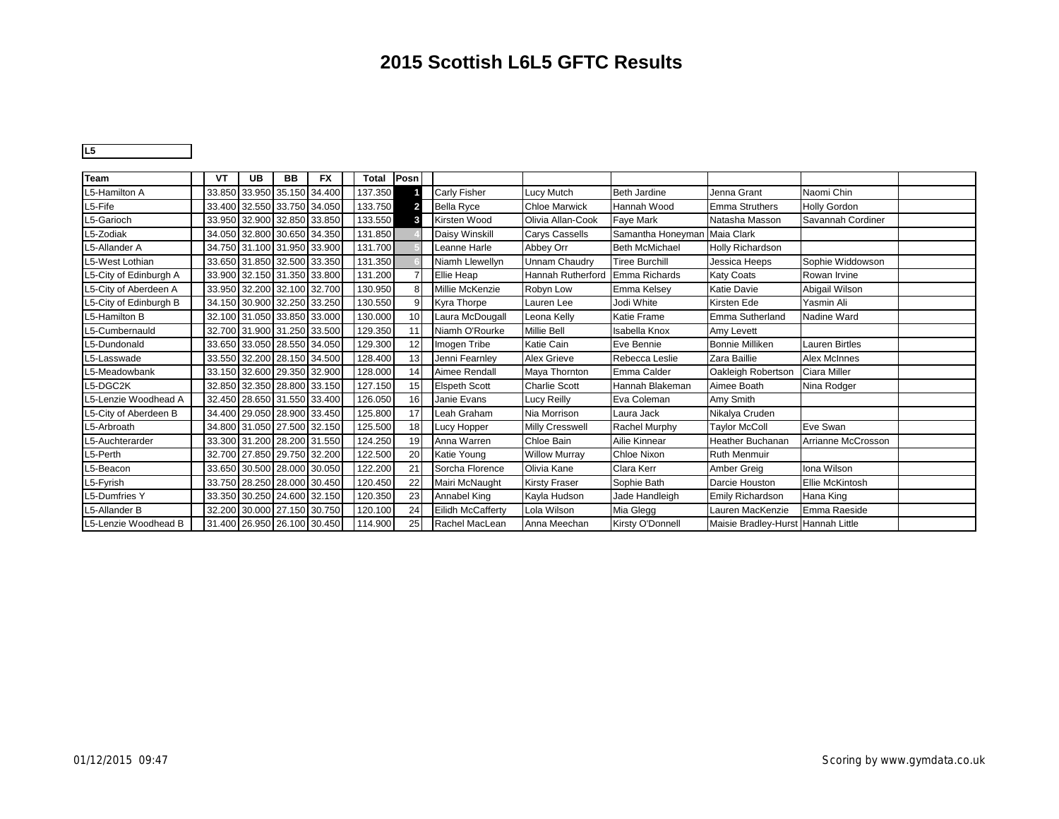#### **2015 Scottish L6L5 GFTC Results**

**L5** 25

| Team                   | VT | UB | BB | <b>FX</b>                   | Total   | Posn            |                          |                        |                       |                                    |                       |  |
|------------------------|----|----|----|-----------------------------|---------|-----------------|--------------------------|------------------------|-----------------------|------------------------------------|-----------------------|--|
| L5-Hamilton A          |    |    |    | 33.850 33.950 35.150 34.400 | 137.350 |                 | <b>Carly Fisher</b>      | Lucy Mutch             | <b>Beth Jardine</b>   | Jenna Grant                        | Naomi Chin            |  |
| L5-Fife                |    |    |    | 33.400 32.550 33.750 34.050 | 133.750 |                 | <b>Bella Ryce</b>        | <b>Chloe Marwick</b>   | Hannah Wood           | <b>Emma Struthers</b>              | <b>Holly Gordon</b>   |  |
| L5-Garioch             |    |    |    | 33.950 32.900 32.850 33.850 | 133.550 | 3               | Kirsten Wood             | Olivia Allan-Cook      | Faye Mark             | Natasha Masson                     | Savannah Cordiner     |  |
| L5-Zodiak              |    |    |    | 34.050 32.800 30.650 34.350 | 131.850 |                 | <b>Daisy Winskill</b>    | <b>Carys Cassells</b>  | Samantha Honeyman     | <b>Maia Clark</b>                  |                       |  |
| L5-Allander A          |    |    |    | 34.750 31.100 31.950 33.900 | 131.700 |                 | Leanne Harle             | Abbey Orr              | <b>Beth McMichael</b> | <b>Holly Richardson</b>            |                       |  |
| L5-West Lothian        |    |    |    | 33.650 31.850 32.500 33.350 | 131.350 |                 | Niamh Llewellyn          | <b>Unnam Chaudry</b>   | <b>Tiree Burchill</b> | Jessica Heeps                      | Sophie Widdowson      |  |
| L5-City of Edinburgh A |    |    |    | 33.900 32.150 31.350 33.800 | 131.200 |                 | Ellie Heap               | Hannah Rutherford      | Emma Richards         | <b>Katy Coats</b>                  | Rowan Irvine          |  |
| L5-City of Aberdeen A  |    |    |    | 33.950 32.200 32.100 32.700 | 130.950 | 8               | Millie McKenzie          | Robyn Low              | Emma Kelsey           | Katie Davie                        | Abigail Wilson        |  |
| L5-City of Edinburgh B |    |    |    | 34.150 30.900 32.250 33.250 | 130.550 | 9               | Kyra Thorpe              | Lauren Lee             | Jodi White            | Kirsten Ede                        | Yasmin Ali            |  |
| L5-Hamilton B          |    |    |    | 32.100 31.050 33.850 33.000 | 130.000 | 10 <sup>1</sup> | Laura McDougall          | Leona Kelly            | Katie Frame           | Emma Sutherland                    | Nadine Ward           |  |
| L5-Cumbernauld         |    |    |    | 32.700 31.900 31.250 33.500 | 129.350 | 11              | Niamh O'Rourke           | <b>Millie Bell</b>     | Isabella Knox         | Amy Levett                         |                       |  |
| L5-Dundonald           |    |    |    | 33.650 33.050 28.550 34.050 | 129.300 | 12              | Imogen Tribe             | Katie Cain             | Eve Bennie            | <b>Bonnie Milliken</b>             | <b>Lauren Birtles</b> |  |
| L5-Lasswade            |    |    |    | 33.550 32.200 28.150 34.500 | 128.400 | 13              | Jenni Fearnley           | Alex Grieve            | Rebecca Leslie        | Zara Baillie                       | <b>Alex McInnes</b>   |  |
| L5-Meadowbank          |    |    |    | 33.150 32.600 29.350 32.900 | 128.000 | 14              | Aimee Rendall            | Maya Thornton          | Emma Calder           | Oakleigh Robertson                 | Ciara Miller          |  |
| L5-DGC2K               |    |    |    | 32.850 32.350 28.800 33.150 | 127.150 | 15              | <b>Elspeth Scott</b>     | <b>Charlie Scott</b>   | Hannah Blakeman       | Aimee Boath                        | Nina Rodger           |  |
| L5-Lenzie Woodhead A   |    |    |    | 32.450 28.650 31.550 33.400 | 126.050 | 16 <sup>1</sup> | Janie Evans              | Lucy Reilly            | Eva Coleman           | Amy Smith                          |                       |  |
| L5-City of Aberdeen B  |    |    |    | 34.400 29.050 28.900 33.450 | 125.800 | 17 <sup>1</sup> | Leah Graham              | Nia Morrison           | Laura Jack            | Nikalya Cruden                     |                       |  |
| L5-Arbroath            |    |    |    | 34.800 31.050 27.500 32.150 | 125.500 | 18              | <b>Lucy Hopper</b>       | <b>Milly Cresswell</b> | Rachel Murphy         | <b>Taylor McColl</b>               | Eve Swan              |  |
| L5-Auchterarder        |    |    |    | 33.300 31.200 28.200 31.550 | 124.250 | 19              | Anna Warren              | Chloe Bain             | Ailie Kinnear         | <b>Heather Buchanan</b>            | Arrianne McCrosson    |  |
| L5-Perth               |    |    |    | 32.700 27.850 29.750 32.200 | 122.500 | 20              | Katie Young              | <b>Willow Murray</b>   | <b>Chloe Nixon</b>    | <b>Ruth Menmuir</b>                |                       |  |
| L5-Beacon              |    |    |    | 33.650 30.500 28.000 30.050 | 122.200 | 21              | Sorcha Florence          | Olivia Kane            | Clara Kerr            | Amber Greig                        | Iona Wilson           |  |
| L5-Fyrish              |    |    |    | 33.750 28.250 28.000 30.450 | 120.450 | 22              | Mairi McNaught           | <b>Kirsty Fraser</b>   | Sophie Bath           | Darcie Houston                     | Ellie McKintosh       |  |
| <b>L5-Dumfries Y</b>   |    |    |    | 33.350 30.250 24.600 32.150 | 120.350 | 23              | Annabel King             | Kayla Hudson           | Jade Handleigh        | <b>Emily Richardson</b>            | Hana King             |  |
| L5-Allander B          |    |    |    | 32.200 30.000 27.150 30.750 | 120.100 | 24              | <b>Eilidh McCafferty</b> | Lola Wilson            | Mia Glegg             | Lauren MacKenzie                   | Emma Raeside          |  |
| L5-Lenzie Woodhead B   |    |    |    | 31.400 26.950 26.100 30.450 | 114.900 | 25              | Rachel MacLean           | Anna Meechan           | Kirsty O'Donnell      | Maisie Bradley-Hurst Hannah Little |                       |  |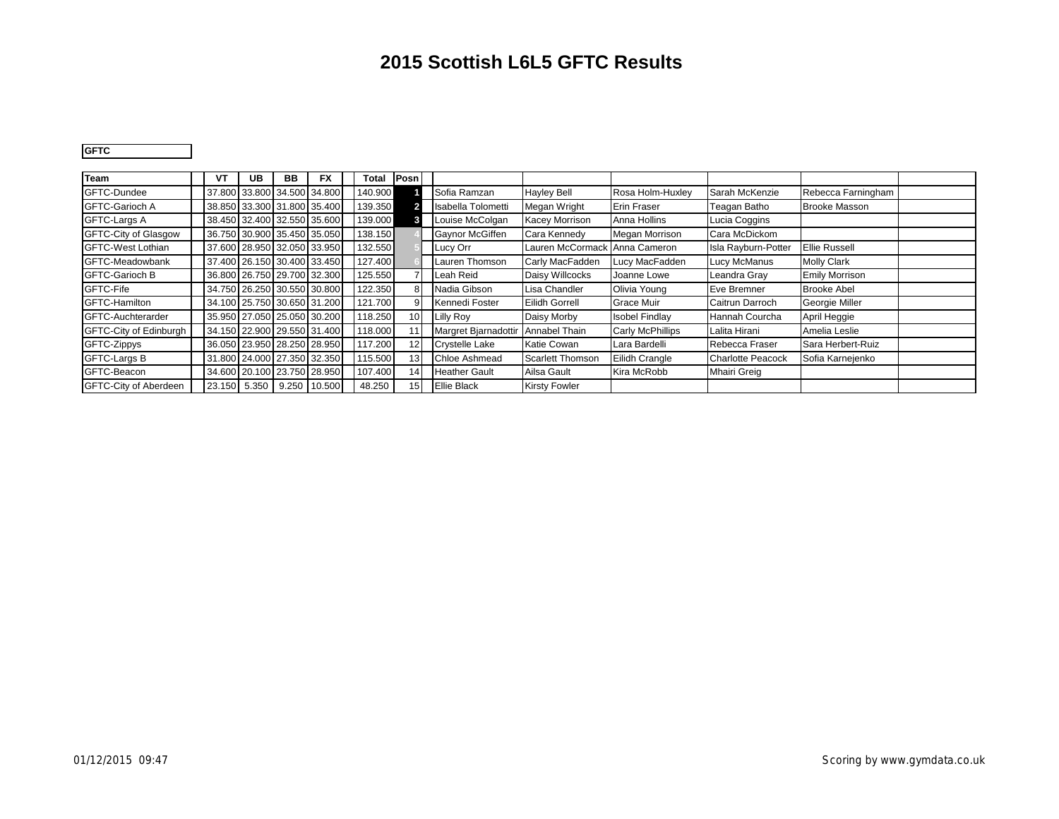### **2015 Scottish L6L5 GFTC Results**

**GFTC** 15

| Team                          | VT | UB | BB | <b>FX</b>                   | <b>Total</b> | Posn            |                                    |                         |                       |                          |                       |  |
|-------------------------------|----|----|----|-----------------------------|--------------|-----------------|------------------------------------|-------------------------|-----------------------|--------------------------|-----------------------|--|
| GFTC-Dundee                   |    |    |    | 37.800 33.800 34.500 34.800 | 140.900      |                 | Sofia Ramzan                       | <b>Hayley Bell</b>      | Rosa Holm-Huxley      | Sarah McKenzie           | Rebecca Farningham    |  |
| <b>GFTC-Garioch A</b>         |    |    |    | 38.850 33.300 31.800 35.400 | 139.350      |                 | Isabella Tolometti                 | Megan Wright            | <b>Erin Fraser</b>    | Teagan Batho             | <b>Brooke Masson</b>  |  |
| <b>GFTC-Largs A</b>           |    |    |    | 38.450 32.400 32.550 35.600 | 139.000      |                 | Louise McColgan                    | <b>Kacey Morrison</b>   | Anna Hollins          | Lucia Coggins            |                       |  |
| <b>GFTC-City of Glasgow</b>   |    |    |    | 36.750 30.900 35.450 35.050 | 138.150      |                 | Gaynor McGiffen                    | Cara Kennedy            | Megan Morrison        | Cara McDickom            |                       |  |
| <b>GFTC-West Lothian</b>      |    |    |    | 37.600 28.950 32.050 33.950 | 132.550      |                 | Lucy Orr                           | Lauren McCormack        | Anna Cameron          | Isla Rayburn-Potter      | <b>Ellie Russell</b>  |  |
| GFTC-Meadowbank               |    |    |    | 37.400 26.150 30.400 33.450 | 127.400      |                 | Lauren Thomson                     | Carly MacFadden         | Lucy MacFadden        | Lucy McManus             | <b>Molly Clark</b>    |  |
| <b>GFTC-Garioch B</b>         |    |    |    | 36.800 26.750 29.700 32.300 | 125.550      |                 | Leah Reid                          | Daisy Willcocks         | Joanne Lowe           | Leandra Gray             | <b>Emily Morrison</b> |  |
| GFTC-Fife                     |    |    |    | 34.750 26.250 30.550 30.800 | 122.350      | 8               | Nadia Gibson                       | Lisa Chandler           | Olivia Young          | Eve Bremner              | <b>Brooke Abel</b>    |  |
| GFTC-Hamilton                 |    |    |    | 34.100 25.750 30.650 31.200 | 121.700      | 9               | Kennedi Foster                     | <b>Eilidh Gorrell</b>   | <b>Grace Muir</b>     | Caitrun Darroch          | Georgie Miller        |  |
| GFTC-Auchterarder             |    |    |    | 35.950 27.050 25.050 30.200 | 118.250      | 10 <sup>1</sup> | <b>Lilly Roy</b>                   | Daisy Morby             | <b>Isobel Findlay</b> | Hannah Courcha           | April Heggie          |  |
| <b>GFTC-City of Edinburgh</b> |    |    |    | 34.150 22.900 29.550 31.400 | 118.000      |                 | Margret Bjarnadottir Annabel Thain |                         | Carly McPhillips      | Lalita Hirani            | Amelia Leslie         |  |
| GFTC-Zippys                   |    |    |    | 36.050 23.950 28.250 28.950 | 117.200      | 12 <sub>1</sub> | <b>Crystelle Lake</b>              | Katie Cowan             | Lara Bardelli         | Rebecca Fraser           | Sara Herbert-Ruiz     |  |
| GFTC-Largs B                  |    |    |    | 31.800 24.000 27.350 32.350 | 115.500      | 13              | <b>Chloe Ashmead</b>               | <b>Scarlett Thomson</b> | Eilidh Crangle        | <b>Charlotte Peacock</b> | Sofia Karnejenko      |  |
| GFTC-Beacon                   |    |    |    | 34.600 20.100 23.750 28.950 | 107.400      | 14              | <b>Heather Gault</b>               | Ailsa Gault             | Kira McRobb           | <b>Mhairi Greig</b>      |                       |  |
| <b>GFTC-City of Aberdeen</b>  |    |    |    | 23.150 5.350 9.250 10.500   | 48.250       | 15              | <b>Ellie Black</b>                 | <b>Kirsty Fowler</b>    |                       |                          |                       |  |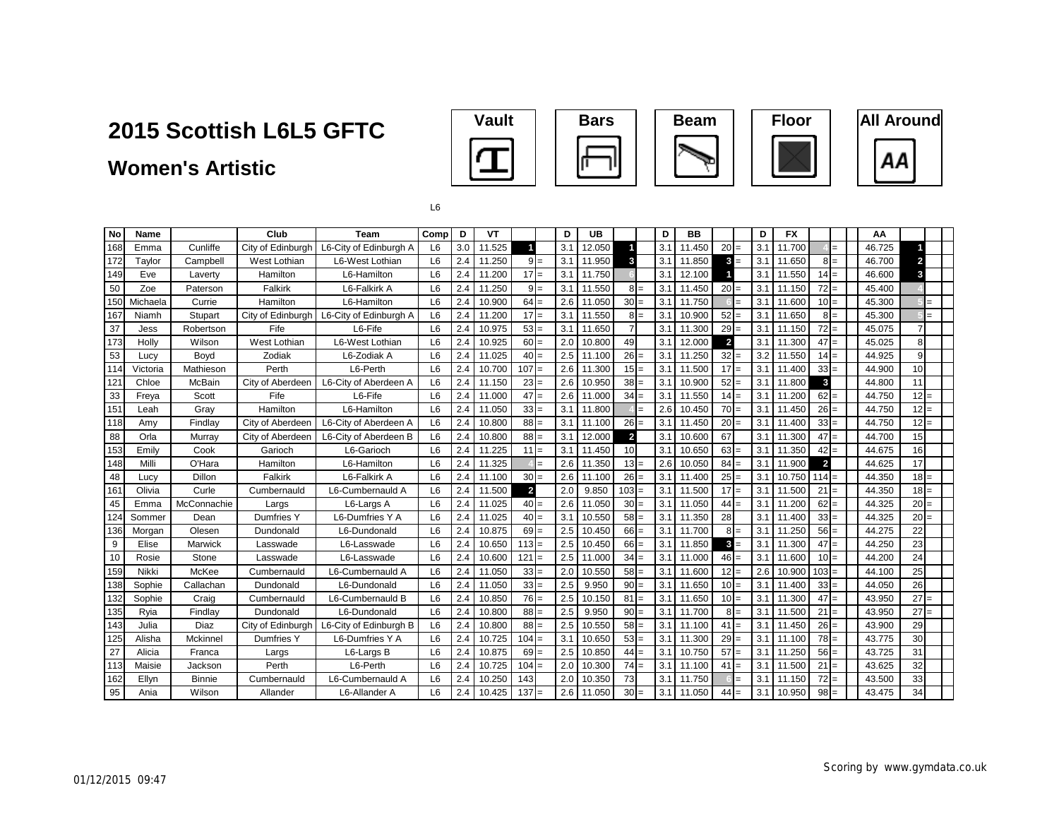### **Women's Artistic**











L6

| l No             | <b>Name</b> |             | Club              | <b>Team</b>            | Comp           | D   | <b>VT</b> |                |       | D   | <b>UB</b> |                 | D   | <b>BB</b> |                | D   | <b>FX</b> |              |     | AA     |                |     |
|------------------|-------------|-------------|-------------------|------------------------|----------------|-----|-----------|----------------|-------|-----|-----------|-----------------|-----|-----------|----------------|-----|-----------|--------------|-----|--------|----------------|-----|
| 168              | Emma        | Cunliffe    | City of Edinburgh | L6-City of Edinburgh A | L6             | 3.0 | 11.525    |                |       | 3.1 | 12.050    |                 | 3.1 | 11.450    | $20 =$         | 3.1 | 11.700    |              | $=$ | 46.725 |                |     |
| 172              | Taylor      | Campbell    | West Lothian      | L6-West Lothian        | L <sub>6</sub> | 2.4 | 11.250    | $9 =$          |       | 3.1 | 11.950    | 3               | 3.1 | 11.850    | $3 -$          | 3.1 | 11.650    | $8I =$       |     | 46.700 | $\overline{2}$ |     |
| 149              | Eve         | Laverty     | Hamilton          | L6-Hamilton            | L <sub>6</sub> | 2.4 | 11.200    | $17 =$         |       | 3.1 | 11.750    |                 | 3.1 | 12.100    |                | 3.1 | 11.550    | $14 =$       |     | 46.600 | 3              |     |
| 50               | Zoe         | Paterson    | Falkirk           | L6-Falkirk A           | L6             | 2.4 | 11.250    |                | $9 =$ | 3.1 | 11.550    | $8 =$           | 3.1 | 11.450    | $20 =$         | 3.1 | 11.150    | $72 =$       |     | 45.400 |                |     |
| 150              | Michaela    | Currie      | Hamilton          | L6-Hamilton            | L <sub>6</sub> | 2.4 | 10.900    | $64 =$         |       | 2.6 | 11.050    | $30 =$          | 3.1 | 11.750    |                | 3.1 | 11.600    | $10 =$       |     | 45.300 |                |     |
| 167              | Niamh       | Stupart     | City of Edinburgh | L6-City of Edinburgh A | L <sub>6</sub> | 2.4 | 11.200    | $17 =$         |       | 3.1 | 11.550    | $8 =$           | 3.1 | 10.900    | $52 =$         | 3.1 | 11.650    | $8 =$        |     | 45.300 |                |     |
| 37               | Jess        | Robertson   | Fife              | L6-Fife                | L <sub>6</sub> | 2.4 | 10.975    | $53 =$         |       | 3.1 | 11.650    | $\overline{7}$  | 3.1 | 11.300    | $29 =$         | 3.2 | 11.150    | $72 =$       |     | 45.075 |                |     |
| 173              | Holly       | Wilson      | West Lothian      | L6-West Lothian        | L6             | 2.4 | 10.925    | $60 =$         |       | 2.0 | 10.800    | 49              | 3.1 | 12.000    | $\overline{2}$ | 3.1 | 11.300    | $47 =$       |     | 45.025 | 8              |     |
| 53               | Lucy        | Boyd        | Zodiak            | L6-Zodiak A            | L6             | 2.4 | 11.025    | $40 =$         |       | 2.5 | 11.100    | 26              | 3.1 | 11.250    | $32 =$         | 3.2 | 11.550    | $14 =$       |     | 44.925 | 9              |     |
| 114              | Victoria    | Mathieson   | Perth             | L6-Perth               | L <sub>6</sub> | 2.4 | 10.700    | $107 =$        |       | 2.6 | 11.300    | $15 =$          | 3.1 | 11.500    | $17 =$         | 3.1 | 11.400    | $33 =$       |     | 44.900 | 10             |     |
| $121$            | Chloe       | McBain      | City of Aberdeen  | L6-City of Aberdeen A  | L <sub>6</sub> | 2.4 | 11.150    | $23 =$         |       | 2.6 | 10.950    | 38 <sub>1</sub> | 3.1 | 10.900    | $52 =$         | 3.1 | 11.800    | $\mathbf{3}$ |     | 44.800 | 11             |     |
| 33               | Freya       | Scott       | Fife              | L6-Fife                | L6             | 2.4 | 11.000    | $47 =$         |       | 2.6 | 11.000    | $34 =$          | 3.1 | 11.550    | $14 =$         | 3.1 | 11.200    | $62 =$       |     | 44.750 | $12 =$         |     |
| 151              | Leah        | Gray        | Hamilton          | L6-Hamilton            | L <sub>6</sub> | 2.4 | 11.050    | $33 =$         |       | 3.1 | 11.800    |                 | 2.6 | 10.450    | $70 =$         | 3.1 | 11.450    | $26 =$       |     | 44.750 | $12 =$         |     |
| 118              | Amy         | Findlay     | City of Aberdeen  | L6-City of Aberdeen A  | L <sub>6</sub> | 2.4 | 10.800    | $88 =$         |       | 3.1 | 11.100    | $26 =$          | 3.1 | 11.450    | $20 =$         | 3.1 | 11.400    | $33 =$       |     | 44.750 | $12 =$         |     |
| 88               | Orla        | Murray      | City of Aberdeen  | L6-City of Aberdeen B  | L <sub>6</sub> | 2.4 | 10.800    | $88 =$         |       | 3.1 | 12.000    | $\overline{2}$  | 3.1 | 10.600    | 67             | 3.2 | 11.300    | $47 =$       |     | 44.700 | 15             |     |
| 153              | Emily       | Cook        | Garioch           | L6-Garioch             | L6             | 2.4 | 11.225    | $11 =$         |       | 3.1 | 11.450    | 10              | 3.1 | 10.650    | $63 =$         | 3.1 | 11.350    | $42 =$       |     | 44.675 | 16             |     |
| 148              | Milli       | O'Hara      | Hamilton          | L6-Hamilton            | L6             | 2.4 | 11.325    |                | $=$   | 2.6 | 11.350    | $13 =$          | 2.6 | 10.050    | $84 =$         | 3.1 | 11.900    | $\mathbf{2}$ |     | 44.625 | 17             |     |
| 48               | Lucv        | Dillon      | Falkirk           | L6-Falkirk A           | L <sub>6</sub> | 2.4 | 11.100    | $30 =$         |       | 2.6 | 11.100    | 26              | 3.1 | 11.400    | $25 =$         | 3.1 | 10.750    | $114 =$      |     | 44.350 | $18 =$         |     |
| 161              | Olivia      | Curle       | Cumbernauld       | L6-Cumbernauld A       | L <sub>6</sub> | 2.4 | 11.500    | $\overline{2}$ |       | 2.0 | 9.850     | 103             | 3.1 | 11.500    | $17 =$         | 3.1 | 11.500    | $21 =$       |     | 44.350 | $18 =$         |     |
| 45               | Emma        | McConnachie | Largs             | L6-Largs A             | L <sub>6</sub> | 2.4 | 11.025    | $40 =$         |       | 2.6 | 11.050    | $30 =$          | 3.1 | 11.050    | $44 =$         | 3.1 | 11.200    | $62 =$       |     | 44.325 | $20 =$         |     |
| 124              | Sommer      | Dean        | Dumfries Y        | L6-Dumfries Y A        | L <sub>6</sub> | 2.4 | 11.025    | $40 =$         |       | 3.1 | 10.550    | $58 =$          | 3.1 | 11.350    | 28             | 3.1 | 11.400    | $33 =$       |     | 44.325 | $20 =$         |     |
| 136              | Morgan      | Olesen      | Dundonald         | L6-Dundonald           | L <sub>6</sub> | 2.4 | 10.875    | $69 =$         |       | 2.5 | 10.450    | $66 =$          | 3.1 | 11.700    | $8 =$          | 3.1 | 11.250    | $56 =$       |     | 44.275 | 22             |     |
| 9                | Elise       | Marwick     | Lasswade          | L6-Lasswade            | L <sub>6</sub> | 2.4 | 10.650    | $113 =$        |       | 2.5 | 10.450    | $66 =$          | 3.1 | 11.850    | $3 =$          | 3.1 | 11.300    | $47 =$       |     | 44.250 | 23             |     |
| 10               | Rosie       | Stone       | Lasswade          | L6-Lasswade            | L <sub>6</sub> | 2.4 | 10.600    | $121 =$        |       | 2.5 | 11.000    | 34              | 3.1 | 11.000    | $46 =$         | 3.1 | 11.600    | $10 =$       |     | 44.200 | 24             |     |
| 159              | Nikki       | McKee       | Cumbernauld       | L6-Cumbernauld A       | L <sub>6</sub> | 2.4 | 11.050    | $33 =$         |       | 2.0 | 10.550    | $58 =$          | 3.1 | 11.600    | $12 =$         | 2.6 | 10.900    | $103 =$      |     | 44.100 | 25             |     |
| 138              | Sophie      | Callachan   | Dundonald         | L6-Dundonald           | L <sub>6</sub> | 2.4 | 11.050    | $33 =$         |       | 2.5 | 9.950     | 90              | 3.1 | 11.650    | $10 =$         | 3.1 | 11.400    | $33 =$       |     | 44.050 | 26             |     |
| 132              | Sophie      | Craig       | Cumbernauld       | L6-Cumbernauld B       | L <sub>6</sub> | 2.4 | 10.850    | $76 =$         |       | 2.5 | 10.150    | 81              | 3.1 | 11.650    | $10 =$         | 3.1 | 11.300    | $47 =$       |     | 43.950 | 27             | $=$ |
| 135              | Ryia        | Findlay     | Dundonald         | L6-Dundonald           | L <sub>6</sub> | 2.4 | 10.800    | $88 =$         |       | 2.5 | 9.950     | $90 =$          | 3.1 | 11.700    | $8 =$          | 3.1 | 11.500    | $21 =$       |     | 43.950 | 27             |     |
| $\overline{143}$ | Julia       | Diaz        | City of Edinburgh | L6-City of Edinburgh B | L <sub>6</sub> | 2.4 | 10.800    | $88 =$         |       | 2.5 | 10.550    | $58 =$          | 3.1 | 11.100    | $41 =$         | 3.1 | 11.450    | $26 =$       |     | 43.900 | 29             |     |
| 125              | Alisha      | Mckinnel    | Dumfries Y        | L6-Dumfries Y A        | L <sub>6</sub> | 2.4 | 10.725    | $104 =$        |       | 3.1 | 10.650    | $53 =$          | 3.1 | 11.300    | $29 =$         | 3.1 | 11.100    | $78 =$       |     | 43.775 | 30             |     |
| 27               | Alicia      | Franca      | Largs             | L6-Largs B             | L <sub>6</sub> | 2.4 | 10.875    | $69 =$         |       | 2.5 | 10.850    | 44              | 3.1 | 10.750    | $57 =$         | 3.1 | 11.250    | $56 =$       |     | 43.725 | 31             |     |
| 113              | Maisie      | Jackson     | Perth             | L6-Perth               | L6             | 2.4 | 10.725    | $104 =$        |       | 2.0 | 10.300    | $74 =$          | 3.1 | 11.100    | $41 =$         | 3.1 | 11.500    | $21 =$       |     | 43.625 | 32             |     |
| 162              | Ellvn       | Binnie      | Cumbernauld       | L6-Cumbernauld A       | L6             | 2.4 | 10.250    | 143            |       | 2.0 | 10.350    | 73              | 3.1 | 11.750    |                | 3.1 | 11.150    | $72 =$       |     | 43.500 | 33             |     |
| 95               | Ania        | Wilson      | Allander          | L6-Allander A          | L6             | 2.4 | 10.425    | $137 =$        |       | 2.6 | 11.050    | $30 =$          | 3.1 | 11.050    | $44 =$         | 3.1 | 10.950    | $98 =$       |     | 43.475 | 34             |     |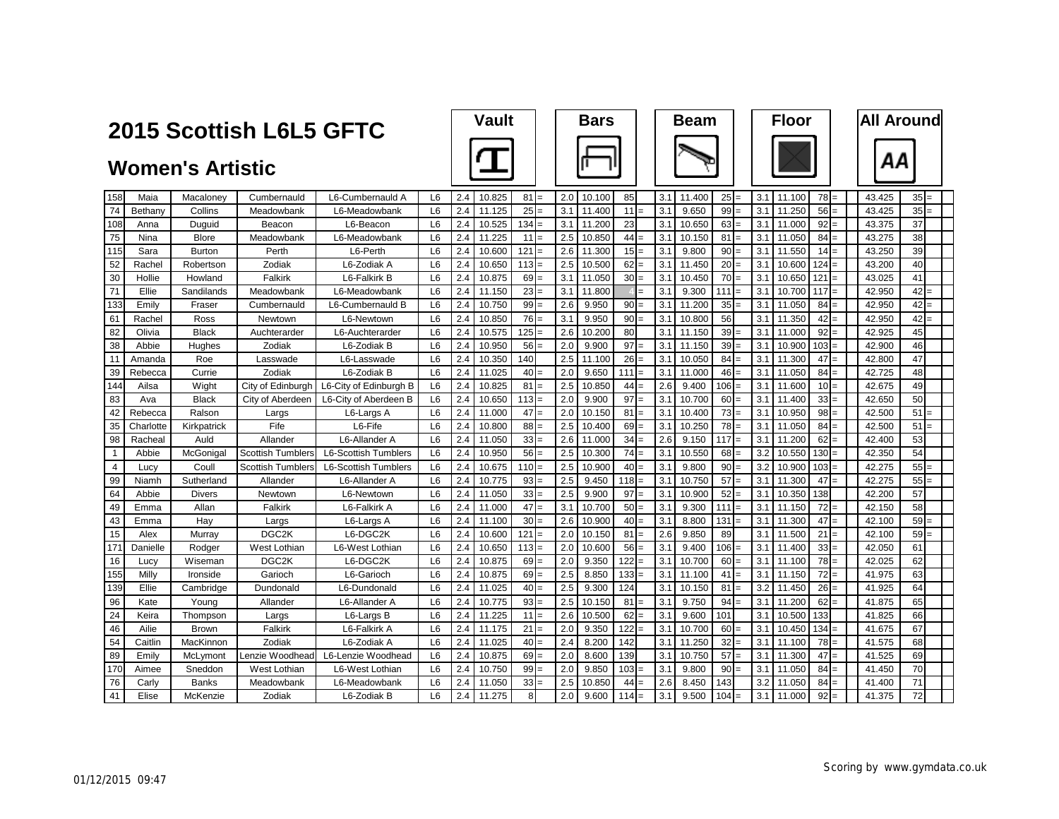|                |           | 2015 Scottish L6L5 GFTC |                          |                             | <b>Vault</b>   |     |        | <b>Bars</b> |     |        |     | <b>Beam</b> |     |        | <b>Floor</b> |     |        | <b>All Around</b> |        |        |  |
|----------------|-----------|-------------------------|--------------------------|-----------------------------|----------------|-----|--------|-------------|-----|--------|-----|-------------|-----|--------|--------------|-----|--------|-------------------|--------|--------|--|
|                |           | <b>Women's Artistic</b> |                          |                             |                |     |        |             |     |        |     |             |     |        |              |     |        |                   |        | ΑА     |  |
| 158            | Maia      | Macaloney               | Cumbernauld              | L6-Cumbernauld A            | L <sub>6</sub> | 2.4 | 10.825 | 81          | 2.0 | 10.100 | 85  |             | 3.1 | 11.400 | 25           | 3.1 | 11.100 | $78 =$            | 43.425 | $35 =$ |  |
| 74             | Bethany   | Collins                 | Meadowbank               | L6-Meadowbank               | L <sub>6</sub> | 2.4 | 11.125 | 25          | 3.1 | 11.400 | 11  |             | 3.1 | 9.650  | 99           | 3.1 | 11.250 | 56                | 43.425 | 35     |  |
| 108            | Anna      | Duguid                  | Beacon                   | L6-Beacon                   | L <sub>6</sub> | 2.4 | 10.525 | 134         | 3.1 | 11.200 | 23  |             | 3.1 | 10.650 | 63           | 3.1 | 11.000 | 92<br>$=$         | 43.375 | 37     |  |
| 75             | Nina      | <b>Blore</b>            | Meadowbank               | L6-Meadowbank               | L <sub>6</sub> | 2.4 | 11.225 | 11          | 2.5 | 10.850 | 44  |             | 3.1 | 10.150 | 81           | 3.1 | 11.050 | 84                | 43.275 | 38     |  |
| 115            | Sara      | <b>Burton</b>           | Perth                    | L6-Perth                    | L <sub>6</sub> | 2.4 | 10.600 | 121         | 2.6 | 11.300 | 15  |             | 3.1 | 9.800  | 90           | 3.1 | 11.550 | 14<br>$=$         | 43.250 | 39     |  |
| 52             | Rachel    | Robertson               | Zodiak                   | L6-Zodiak A                 | L <sub>6</sub> | 2.4 | 10.650 | 113         | 2.5 | 10.500 | 62  | $=$         | 3.1 | 11.450 | 20           | 3.1 | 10.600 | 124<br>$=$        | 43.200 | 40     |  |
| 30             | Hollie    | Howland                 | Falkirk                  | L6-Falkirk B                | L <sub>6</sub> | 2.4 | 10.875 | 69          | 3.1 | 11.050 | 30  |             | 3.1 | 10.450 | 70           | 3.1 | 10.650 | 121               | 43.025 | 41     |  |
| 71             | Ellie     | Sandilands              | Meadowbank               | L6-Meadowbank               | L <sub>6</sub> | 2.4 | 11.150 | 23          | 3.1 | 11.800 |     |             | 3.1 | 9.300  | 111          | 3.1 | 10.700 | 117               | 42.950 | 42     |  |
| 133            | Emily     | Fraser                  | Cumbernauld              | L6-Cumbernauld B            | L <sub>6</sub> | 2.4 | 10.750 | 99          | 2.6 | 9.950  | 90  |             | 3.1 | 11.200 | 35           | 3.1 | 11.050 | 84                | 42.950 | 42     |  |
| 61             | Rachel    | Ross                    | Newtown                  | L6-Newtown                  | L <sub>6</sub> | 2.4 | 10.850 | 76          | 3.1 | 9.950  | 90  |             | 3.1 | 10.800 | 56           | 3.1 | 11.350 | 42                | 42.950 | 42     |  |
| 82             | Olivia    | <b>Black</b>            | Auchterarder             | L6-Auchterarder             | L <sub>6</sub> | 2.4 | 10.575 | 125         | 2.6 | 10.200 | 80  |             | 3.1 | 11.150 | 39           | 3.1 | 11.000 | 92                | 42.925 | 45     |  |
| 38             | Abbie     | Hughes                  | Zodiak                   | L6-Zodiak B                 | L <sub>6</sub> | 2.4 | 10.950 | 56          | 2.0 | 9.900  | 97  |             | 3.1 | 11.150 | 39           | 3.1 | 10.900 | 103               | 42.900 | 46     |  |
| 11             | Amanda    | Roe                     | Lasswade                 | L6-Lasswade                 | L <sub>6</sub> | 2.4 | 10.350 | 140         | 2.5 | 11.100 | 26  |             | 3.1 | 10.050 | 84           | 3.1 | 11.300 | 47<br>$=$         | 42.800 | 47     |  |
| 39             | Rebecca   | Currie                  | Zodiak                   | L6-Zodiak B                 | L <sub>6</sub> | 2.4 | 11.025 | 40          | 2.0 | 9.650  | 111 |             | 3.1 | 11.000 | 46           | 3.1 | 11.050 | 84                | 42.725 | 48     |  |
| 144            | Ailsa     | Wight                   | City of Edinburgh        | L6-City of Edinburgh B      | L <sub>6</sub> | 2.4 | 10.825 | 81          | 2.5 | 10.850 | 44  |             | 2.6 | 9.400  | 106          | 3.1 | 11.600 | 10                | 42.675 | 49     |  |
| 83             | Ava       | <b>Black</b>            | City of Aberdeen         | L6-City of Aberdeen B       | L <sub>6</sub> | 2.4 | 10.650 | 113         | 2.0 | 9.900  | 97  |             | 3.1 | 10.700 | 60           | 3.1 | 11.400 | 33                | 42.650 | 50     |  |
| 42             | Rebecca   | Ralson                  | Largs                    | L6-Largs A                  | L <sub>6</sub> | 2.4 | 11.000 | 47          | 2.0 | 10.150 | 81  |             | 3.1 | 10.400 | 73           | 3.1 | 10.950 | 98                | 42.500 | 51     |  |
| 35             | Charlotte | Kirkpatrick             | Fife                     | L6-Fife                     | L <sub>6</sub> | 2.4 | 10.800 | 88          | 2.5 | 10.400 | 69  |             | 3.1 | 10.250 | 78           | 3.1 | 11.050 | 84                | 42.500 | 51     |  |
| 98             | Racheal   | Auld                    | Allander                 | L6-Allander A               | L <sub>6</sub> | 2.4 | 11.050 | 33          | 2.6 | 11.000 | 34  |             | 2.6 | 9.150  | 117          | 3.1 | 11.200 | 62                | 42.400 | 53     |  |
| $\mathbf{1}$   | Abbie     | McGonigal               | <b>Scottish Tumbler</b>  | <b>L6-Scottish Tumblers</b> | L <sub>6</sub> | 2.4 | 10.950 | 56          | 2.5 | 10.300 | 74  |             | 3.1 | 10.550 | 68           | 3.2 | 10.550 | 130               | 42.350 | 54     |  |
| $\overline{4}$ | Lucy      | Coull                   | <b>Scottish Tumblers</b> | <b>L6-Scottish Tumblers</b> | L <sub>6</sub> | 2.4 | 10.675 | 110         | 2.5 | 10.900 | 40  |             | 3.1 | 9.800  | 90           | 3.2 | 10.900 | 103               | 42.275 | 55     |  |
| 99             | Niamh     | Sutherland              | Allander                 | L6-Allander A               | L <sub>6</sub> | 2.4 | 10.775 | 93          | 2.5 | 9.450  | 118 |             | 3.1 | 10.750 | 57           | 3.1 | 11.300 | 47                | 42.275 | 55     |  |
| 64             | Abbie     | <b>Divers</b>           | Newtown                  | L6-Newtown                  | L <sub>6</sub> | 2.4 | 11.050 | 33          | 2.5 | 9.900  | 97  |             | 3.1 | 10.900 | 52           | 3.1 | 10.350 | 138               | 42.200 | 57     |  |
| 49             | Emma      | Allan                   | Falkirk                  | L6-Falkirk A                | L <sub>6</sub> | 2.4 | 11.000 | 47          | 3.1 | 10.700 | 50  |             | 3.1 | 9.300  | 111          | 3.1 | 11.150 | 72                | 42.150 | 58     |  |
| 43             | Emma      | Hav                     | Largs                    | L6-Largs A                  | L <sub>6</sub> | 2.4 | 11.100 | 30          | 2.6 | 10.900 | 40  |             | 3.1 | 8.800  | 131          | 3.1 | 11.300 | 47                | 42.100 | 59     |  |
| 15             | Alex      | Murrav                  | DGC <sub>2K</sub>        | L6-DGC2K                    | L <sub>6</sub> | 2.4 | 10.600 | 121         | 2.0 | 10.150 | 81  |             | 2.6 | 9.850  | 89           | 3.1 | 11.500 | 21                | 42.100 | 59     |  |
| 171            | Danielle  | Rodaer                  | West Lothian             | L6-West Lothian             | L <sub>6</sub> | 2.4 | 10.650 | 113         | 2.0 | 10.600 | 56  |             | 3.1 | 9.400  | 106          | 3.1 | 11.400 | 33                | 42.050 | 61     |  |
| 16             | Lucy      | Wiseman                 | DGC <sub>2</sub> K       | L6-DGC2K                    | L <sub>6</sub> | 2.4 | 10.875 | 69          | 2.0 | 9.350  | 122 |             | 3.1 | 10.700 | 60           | 3.1 | 11.100 | 78<br>$=$         | 42.025 | 62     |  |
| 155            | Milly     | Ironside                | Garioch                  | L6-Garioch                  | L <sub>6</sub> | 2.4 | 10.875 | 69          | 2.5 | 8.850  | 133 |             | 3.1 | 11.100 | 41           | 3.1 | 11.150 | 72                | 41.975 | 63     |  |
| 139            | Ellie     | Cambridge               | Dundonald                | L6-Dundonald                | L <sub>6</sub> | 2.4 | 11.025 | 40          | 2.5 | 9.300  | 124 |             | 3.1 | 10.150 | 81           | 3.2 | 11.450 | 26                | 41.925 | 64     |  |
| 96             | Kate      | Young                   | Allander                 | L6-Allander A               | L <sub>6</sub> | 2.4 | 10.775 | 93          | 2.5 | 10.150 | 81  |             | 3.1 | 9.750  | 94           | 3.1 | 11.200 | 62                | 41.875 | 65     |  |
| 24             | Keira     | Thompson                | Largs                    | L6-Largs B                  | L <sub>6</sub> | 2.4 | 11.225 | 11          | 2.6 | 10.500 | 62  |             | 3.1 | 9.600  | 101          | 3.1 | 10.500 | 133               | 41.825 | 66     |  |
| 46             | Ailie     | <b>Brown</b>            | Falkirk                  | L6-Falkirk A                | L <sub>6</sub> | 2.4 | 11.175 | 21          | 2.0 | 9.350  | 122 |             | 3.1 | 10.700 | 60           | 3.1 | 10.450 | 134               | 41.675 | 67     |  |
| 54             | Caitlin   | MacKinnon               | Zodiak                   | L6-Zodiak A                 | L <sub>6</sub> | 2.4 | 11.025 | 40<br>$=$   | 2.4 | 8.200  | 142 |             | 3.1 | 11.250 | 32           | 3.1 | 11.100 | 78<br>$=$         | 41.575 | 68     |  |
| 89             | Emily     | McLymont                | Lenzie Woodhead          | L6-Lenzie Woodhead          | L <sub>6</sub> | 2.4 | 10.875 | 69          | 2.0 | 8.600  | 139 |             | 3.1 | 10.750 | 57           | 3.1 | 11.300 | 47                | 41.525 | 69     |  |
| 170            | Aimee     | Sneddon                 | West Lothian             | L6-West Lothian             | L <sub>6</sub> | 2.4 | 10.750 | 99          | 2.0 | 9.850  | 103 |             | 3.1 | 9.800  | 90           | 3.1 | 11.050 | 84                | 41.450 | 70     |  |
| 76             | Carly     | <b>Banks</b>            | Meadowbank               | L6-Meadowbank               | L <sub>6</sub> | 2.4 | 11.050 | 33          | 2.5 | 10.850 | 44  |             | 2.6 | 8.450  | 143          | 3.2 | 11.050 | 84                | 41.400 | 71     |  |
| 41             | Elise     | McKenzie                | Zodiak                   | L6-Zodiak B                 | L <sub>6</sub> | 2.4 | 11.275 | Я           | 2.0 | 9.600  | 114 |             | 3.1 | 9.500  | 104          | 3.1 | 11.000 | 92                | 41.375 | 72     |  |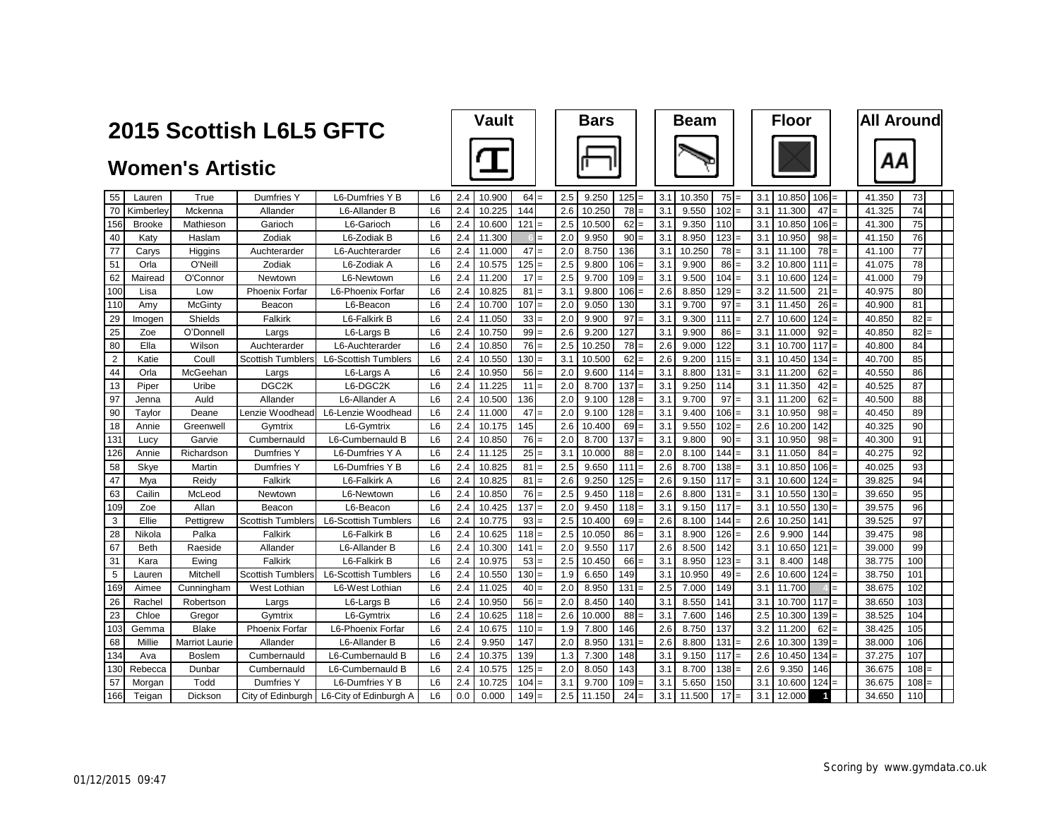|                | 2015 Scottish L6L5 GFTC |                         |                          |                                            |                |     | <b>Vault</b> |            |     | <b>Bars</b> |         |     | <b>Beam</b> |     |     | <b>Floor</b> |                         |     | <b>All Around</b> |     |     |
|----------------|-------------------------|-------------------------|--------------------------|--------------------------------------------|----------------|-----|--------------|------------|-----|-------------|---------|-----|-------------|-----|-----|--------------|-------------------------|-----|-------------------|-----|-----|
|                |                         | <b>Women's Artistic</b> |                          |                                            |                |     |              |            |     |             |         |     |             |     |     |              |                         |     | ΑА                |     |     |
| 55             | Lauren                  | True                    | Dumfries Y               | L6-Dumfries Y B                            | L <sub>6</sub> | 2.4 | 10.900       | 64         | 2.5 | 9.250       | 125     | 3.1 | 10.350      | 75  | 3.1 | 10.850       | 106                     |     | 41.350            | 73  |     |
| 70             | Kimberley               | Mckenna                 | Allander                 | L6-Allander B                              | L <sub>6</sub> | 2.4 | 10.225       | 144        | 2.6 | 10.250      | 78      | 3.1 | 9.550       | 102 | 3.1 | 11.300       | 47                      |     | 41.325            | 74  |     |
| 156            | <b>Brooke</b>           | Mathieson               | Garioch                  | L6-Garioch                                 | L6             | 2.4 | 10.600       | 121        | 2.5 | 10.500      | 62      | 3.1 | 9.350       | 110 | 3.1 | 10.850       | 106                     |     | 41.300            | 75  |     |
| 40             | Katy                    | Haslam                  | Zodiak                   | L6-Zodiak B                                | L <sub>6</sub> | 2.4 | 11.300       | $=$        | 2.0 | 9.950       | 90      | 3.1 | 8.950       | 123 | 3.1 | 10.950       | 98                      |     | 41.150            | 76  |     |
| 77             | Carys                   | Higgins                 | Auchterarder             | L6-Auchterarder                            | L <sub>6</sub> | 2.4 | 11.000       | 47         | 2.0 | 8.750       | 136     | 3.1 | 10.250      | 78  | 3.1 | 11.100       | 78                      |     | 41.100            | 77  |     |
| 51             | Orla                    | O'Neill                 | Zodiak                   | L6-Zodiak A                                | L <sub>6</sub> | 2.4 | 10.575       | 125        | 2.5 | 9.800       | 106     | 3.1 | 9.900       | 86  | 3.2 | 10.800       | 111                     |     | 41.075            | 78  |     |
| 62             | Mairead                 | O'Connor                | Newtown                  | L6-Newtown                                 | L <sub>6</sub> | 2.4 | 11.200       | 17         | 2.5 | 9.700       | 109     | 3.1 | 9.500       | 104 | 3.1 | 10.600       | 124                     |     | 41.000            | 79  |     |
| 100            | Lisa                    | Low                     | <b>Phoenix Forfar</b>    | L6-Phoenix Forfar                          | L <sub>6</sub> | 2.4 | 10.825       | 81         | 3.1 | 9.800       | 106     | 2.6 | 8.850       | 129 | 3.2 | 11.500       | 21                      |     | 40.975            | 80  |     |
| 110            | Amy                     | McGinty                 | Beacon                   | L6-Beacon                                  | L <sub>6</sub> | 2.4 | 10.700       | 107<br>$=$ | 2.0 | 9.050       | 130     | 3.1 | 9.700       | 97  | 3.1 | 11.450       | 26                      |     | 40.900            | 81  |     |
| 29             | Imogen                  | Shields                 | Falkirk                  | L6-Falkirk B                               | L <sub>6</sub> | 2.4 | 11.050       | 33<br>$=$  | 2.0 | 9.900       | 97      | 3.1 | 9.300       | 111 | 2.7 | 10.600       | 124                     |     | 40.850            | 82  | $=$ |
| 25             | Zoe                     | O'Donnell               | Largs                    | L6-Largs B                                 | L <sub>6</sub> | 2.4 | 10.750       | 99         | 2.6 | 9.200       | 127     | 3.1 | 9.900       | 86  | 3.1 | 11.000       | 92                      |     | 40.850            | 82  |     |
| 80             | Ella                    | Wilson                  | Auchterarder             | L6-Auchterarder                            | L <sub>6</sub> | 2.4 | 10.850       | 76         | 2.5 | 10.250      | 78      | 2.6 | 9.000       | 122 | 3.1 | 10.700       | 117                     |     | 40.800            | 84  |     |
| $\overline{2}$ | Katie                   | Coull                   | <b>Scottish Tumblers</b> | <b>L6-Scottish Tumblers</b>                | L <sub>6</sub> | 2.4 | 10.550       | 130        | 3.1 | 10.500      | 62      | 2.6 | 9.200       | 115 | 3.1 | 10.450       | 134                     |     | 40.700            | 85  |     |
| 44             | Orla                    | McGeehan                | Largs                    | L6-Largs A                                 | L <sub>6</sub> | 2.4 | 10.950       | 56         | 2.0 | 9.600       | $114 =$ | 3.1 | 8.800       | 131 | 3.1 | 11.200       | 62                      | $=$ | 40.550            | 86  |     |
| 13             | Piper                   | Uribe                   | DGC <sub>2K</sub>        | L6-DGC2K                                   | L <sub>6</sub> | 2.4 | 11.225       | 11         | 2.0 | 8.700       | 137     | 3.1 | 9.250       | 114 | 3.1 | 11.350       | 42                      |     | 40.525            | 87  |     |
| 97             | Jenna                   | Auld                    | Allander                 | L6-Allander A                              | L <sub>6</sub> | 2.4 | 10.500       | 136        | 2.0 | 9.100       | $128 =$ | 3.1 | 9.700       | 97  | 3.1 | 11.200       | 62                      |     | 40.500            | 88  |     |
| 90             | Taylor                  | Deane                   | Lenzie Woodhead          | L6-Lenzie Woodhead                         | L <sub>6</sub> | 2.4 | 11.000       | 47         | 2.0 | 9.100       | 128     | 3.1 | 9.400       | 106 | 3.1 | 10.950       | 98                      |     | 40.450            | 89  |     |
| 18             | Annie                   | Greenwell               | Gymtrix                  | L6-Gymtrix                                 | L <sub>6</sub> | 2.4 | 10.175       | 145        | 2.6 | 10.400      | 69      | 3.1 | 9.550       | 102 | 2.6 | 10.200       | 142                     |     | 40.325            | 90  |     |
| 131            | Lucy                    | Garvie                  | Cumbernauld              | L6-Cumbernauld B                           | L <sub>6</sub> | 2.4 | 10.850       | 76         | 2.0 | 8.700       | 137     | 3.1 | 9.800       | 90  | 3.1 | 10.950       | 98                      |     | 40.300            | 91  |     |
| 126            | Annie                   | Richardson              | Dumfries Y               | L6-Dumfries Y A                            | L <sub>6</sub> | 2.4 | 11.125       | 25         | 3.1 | 10.000      | 88      | 2.0 | 8.100       | 144 | 3.1 | 11.050       | 84                      |     | 40.275            | 92  |     |
| 58             | Skye                    | Martin                  | Dumfries Y               | L6-Dumfries Y B                            | L <sub>6</sub> | 2.4 | 10.825       | 81         | 2.5 | 9.650       | 111     | 2.6 | 8.700       | 138 | 3.1 | 10.850       | 106                     |     | 40.025            | 93  |     |
| 47             | Mva                     | Reidv                   | Falkirk                  | L6-Falkirk A                               | L <sub>6</sub> | 2.4 | 10.825       | 81<br>$=$  | 2.6 | 9.250       | $125 =$ | 2.6 | 9.150       | 117 | 3.1 | 10.600       | 124                     |     | 39.825            | 94  |     |
| 63             | Cailin                  | McLeod                  | Newtown                  | L6-Newtown                                 | L <sub>6</sub> | 2.4 | 10.850       | 76         | 2.5 | 9.450       | 118     | 2.6 | 8.800       | 131 | 3.1 | 10.550       | 130                     |     | 39.650            | 95  |     |
| 109            | Zoe                     | Allan                   | Beacon                   | L6-Beacon                                  | L <sub>6</sub> | 2.4 | 10.425       | 137        | 2.0 | 9.450       | 118     | 3.1 | 9.150       | 117 | 3.1 | 10.550       | 130                     |     | 39.575            | 96  |     |
| 3              | Ellie                   | Pettigrew               | <b>Scottish Tumblers</b> | L6-Scottish Tumblers                       | L6             | 2.4 | 10.775       | 93<br>$=$  | 2.5 | 10.400      | $69 =$  | 2.6 | 8.100       | 144 | 2.6 | 10.250       | 141                     |     | 39.525            | 97  |     |
| 28             | Nikola                  | Palka                   | Falkirk                  | L6-Falkirk B                               | L <sub>6</sub> | 2.4 | 10.625       | 118        | 2.5 | 10.050      | 86      | 3.1 | 8.900       | 126 | 2.6 | 9.900        | 144                     |     | 39.475            | 98  |     |
| 67             | <b>Beth</b>             | Raeside                 | Allander                 | L6-Allander B                              | L <sub>6</sub> | 2.4 | 10.300       | 141        | 2.0 | 9.550       | 117     | 2.6 | 8.500       | 142 | 3.1 | 10.650       | 121                     |     | 39.000            | 99  |     |
| 31             | Kara                    | Ewing                   | Falkirk                  | L6-Falkirk B                               | L <sub>6</sub> | 2.4 | 10.975       | 53<br>$=$  | 2.5 | 10.450      | 66      | 3.1 | 8.950       | 123 | 3.1 | 8.400        | 148                     |     | 38.775            | 100 |     |
| 5              | Lauren                  | Mitchell                | <b>Scottish Tumblers</b> | <b>L6-Scottish Tumblers</b>                | L <sub>6</sub> | 2.4 | 10.550       | 130        | 1.9 | 6.650       | 149     | 3.1 | 10.950      | 49  | 2.6 | 10.600       | 124                     |     | 38.750            | 101 |     |
| 169            | Aimee                   | Cunningham              | West Lothian             | L6-West Lothian                            | L <sub>6</sub> | 2.4 | 11.025       | 40         | 2.0 | 8.950       | 131     | 2.5 | 7.000       | 149 | 3.1 | 11.700       |                         |     | 38.675            | 102 |     |
| 26             | Rachel                  | Robertson               | Largs                    | L6-Largs B                                 | L <sub>6</sub> | 2.4 | 10.950       | 56         | 2.0 | 8.450       | 140     | 3.1 | 8.550       | 141 | 3.1 | 10.700       | 117                     |     | 38.650            | 103 |     |
| 23             | Chloe                   | Gregor                  | Gymtrix                  | L6-Gymtrix                                 | L <sub>6</sub> | 2.4 | 10.625       | 118        | 2.6 | 10.000      | 88      | 3.1 | 7.600       | 146 | 2.5 | 10.300       | 139                     |     | 38.525            | 104 |     |
| 103            | Gemma                   | <b>Blake</b>            | <b>Phoenix Forfar</b>    | L6-Phoenix Forfar                          | L <sub>6</sub> | 2.4 | 10.675       | 110        | 1.9 | 7.800       | 146     | 2.6 | 8.750       | 137 | 3.2 | 11.200       | 62                      |     | 38.425            | 105 |     |
| 68             | Millie                  | <b>Marriot Laurie</b>   | Allander                 | L6-Allander B                              | L <sub>6</sub> | 2.4 | 9.950        | 147        | 2.0 | 8.950       | 131     | 2.6 | 8.800       | 131 | 2.6 | 10.300       | 139                     |     | 38.000            | 106 |     |
| 134            | Ava                     | <b>Boslem</b>           | Cumbernauld              | L6-Cumbernauld B                           | L <sub>6</sub> | 2.4 | 10.375       | 139        | 1.3 | 7.300       | 148     | 3.1 | 9.150       | 117 | 2.6 | 10.450       | 134                     |     | 37.275            | 107 |     |
| 130            | Rebecca                 | Dunbar                  | Cumbernauld              | L6-Cumbernauld B                           | L <sub>6</sub> | 2.4 | 10.575       | 125        | 2.0 | 8.050       | 143     | 3.1 | 8.700       | 138 | 2.6 | 9.350        | 146                     |     | 36.675            | 108 | $=$ |
| 57             | Morgan                  | Todd                    | Dumfries Y               | L6-Dumfries Y B                            | L <sub>6</sub> | 2.4 | 10.725       | 104        | 3.1 | 9.700       | 109     | 3.1 | 5.650       | 150 | 3.1 | 10.600       | 124                     |     | 36.675            | 108 |     |
| 166            | Teigan                  | Dickson                 |                          | City of Edinburgh   L6-City of Edinburgh A | L <sub>6</sub> | 0.0 | 0.000        | 149        | 2.5 | 11.150      | 24      | 3.1 | 11.500      | 17  | 3.1 | 12.000       | $\overline{\mathbf{1}}$ |     | 34.650            | 110 |     |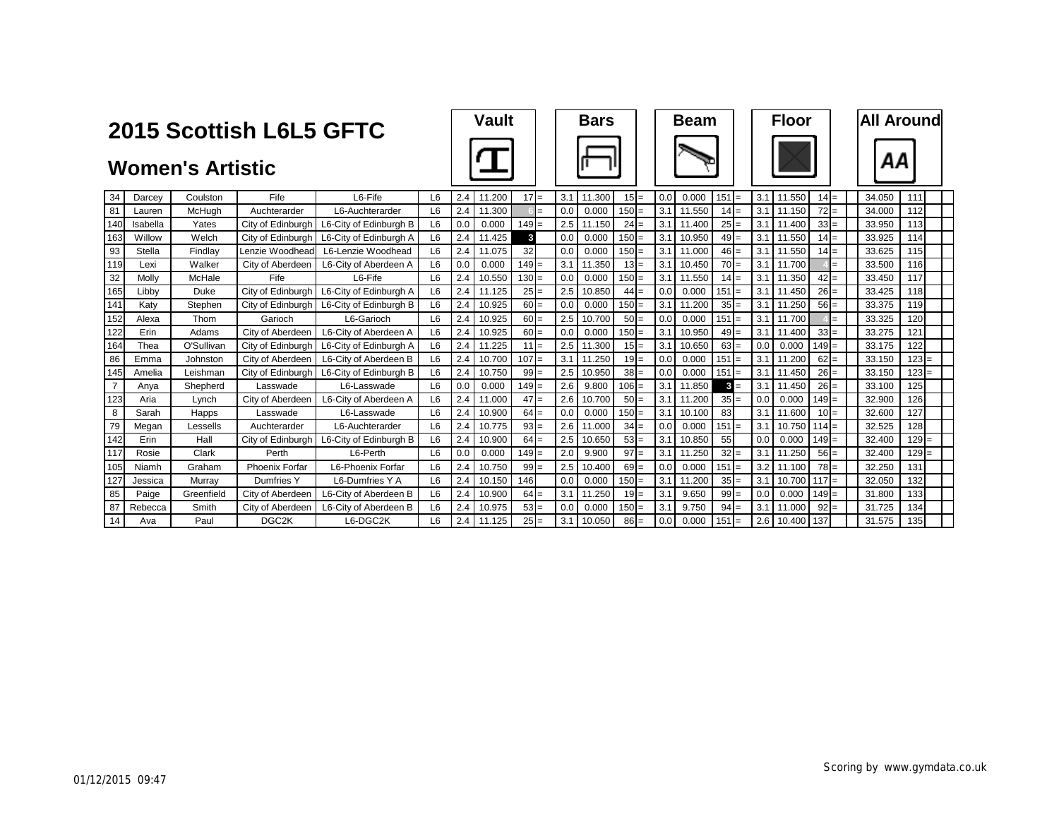|                | 2015 Scottish L6L5 GFTC |                         |                       |                        |                |     | <b>Vault</b> |              |     | <b>Bars</b> |         |     | <b>Beam</b>  |          |     | <b>Floor</b>      |     |        | <b>All Around</b> |
|----------------|-------------------------|-------------------------|-----------------------|------------------------|----------------|-----|--------------|--------------|-----|-------------|---------|-----|--------------|----------|-----|-------------------|-----|--------|-------------------|
|                |                         | <b>Women's Artistic</b> |                       |                        |                |     |              |              |     |             |         |     |              |          |     |                   |     | ΑА     |                   |
| 34             | Darcey                  | Coulston                | Fife                  | L6-Fife                | L6             | 2.4 | 11.200       | $17 =$       | 3.1 | 11.300      | $15 =$  | 0.0 | 0.000        | $151 =$  | 3.1 | 11.550<br>$14 =$  |     | 34.050 | 111               |
| 81             | Lauren                  | McHugh                  | Auchterarder          | L6-Auchterarder        | L6             | 2.4 | 11.300       |              | 0.0 | 0.000       | $150 =$ | 3.1 | 11.550       | $14 =$   | 3.1 | 72<br>11.150      | $=$ | 34.000 | 112               |
| 140            | Isabella                | Yates                   | City of Edinburgh     | L6-City of Edinburgh B | L6             | 0.0 | 0.000        | $149 =$      | 2.5 | 11.150      | 24      | 3.1 | 11.400       | $25 =$   | 3.1 | 33<br>11.400      | $=$ | 33.950 | 113               |
| 163            | Willow                  | Welch                   | City of Edinburgh     | L6-City of Edinburgh A | L <sub>6</sub> | 2.4 | 11.425       | $\mathbf{3}$ | 0.0 | 0.000       | $150 =$ | 3.1 | 10.950       | $49 =$   | 3.1 | 11.550<br>$14 =$  |     | 33.925 | 114               |
| 93             | Stella                  | Findlay                 | Lenzie Woodhead       | L6-Lenzie Woodhead     | L <sub>6</sub> | 2.4 | 11.075       | 32           | 0.0 | 0.000       | $150 =$ | 3.1 | 11,000       | $46 =$   | 3.1 | 11.550<br>$14 =$  |     | 33.625 | 115               |
| 119            | Lexi                    | Walker                  | City of Aberdeen      | L6-City of Aberdeen A  | L <sub>6</sub> | 0.0 | 0.000        | $149 =$      | 3.1 | 11.350      | $13 =$  | 3.1 | 10.450       | $70 =$   | 3.1 | 11.700            | $=$ | 33.500 | 116               |
| 32             | Molly                   | McHale                  | Fife                  | L6-Fife                | L <sub>6</sub> | 2.4 | 10.550       | $130 =$      | 0.0 | 0.000       | $150 =$ | 3.1 | 11.550       | $14 =$   | 3.1 | $42 =$<br>11.350  |     | 33.450 | 117               |
| 165            | Libby                   | Duke                    | City of Edinburgh     | L6-City of Edinburgh A | L <sub>6</sub> | 2.4 | 11.125       | $25 =$       | 2.5 | 10.850      | $44 =$  | 0.0 | 0.000        | $151 =$  | 3.1 | 11.450<br>$26 =$  |     | 33.425 | 118               |
| 141            | Katv                    | Stephen                 | City of Edinburgh     | L6-City of Edinburgh B | L6             | 2.4 | 10.925       | $60 =$       | 0.0 | 0.000       | $150 =$ | 3.1 | 11.200       | $35 =$   | 3.1 | 11.250<br>$56 =$  |     | 33.375 | 119               |
| 152            | Alexa                   | Thom                    | Garioch               | L6-Garioch             | L6             | 2.4 | 10.925       | $60 =$       | 2.5 | 10.700      | $50 =$  | 0.0 | 0.000<br>151 |          | 3.1 | 11.700            | $=$ | 33.325 | 120               |
| 122            | Erin                    | Adams                   | City of Aberdeen      | L6-City of Aberdeen A  | L <sub>6</sub> | 2.4 | 10.925       | $60 =$       | 0.0 | 0.000       | $150 =$ | 3.1 | 10.950       | $49 =$   | 3.1 | $33 =$<br>11.400  |     | 33.275 | 121               |
| 164            | Thea                    | O'Sullivan              | City of Edinburgh     | L6-City of Edinburgh A | L <sub>6</sub> | 2.4 | 11.225       | $11 =$       | 2.5 | 11.300      | $15 =$  | 3.1 | 10.650       | $63 =$   | 0.0 | $149 =$<br>0.000  |     | 33.175 | 122               |
| 86             | Emma                    | Johnston                | City of Aberdeen      | L6-City of Aberdeen B  | L <sub>6</sub> | 2.4 | 10.700       | $107 =$      | 3.1 | 11.250      | $19 =$  | 0.0 | 0.000        | $151 =$  | 3.1 | 62<br>11.200      | $=$ | 33.150 | $123 =$           |
| 145            | Amelia                  | Leishman                | City of Edinburgh     | L6-City of Edinburgh B | L <sub>6</sub> | 2.4 | 10.750       | $99 =$       | 2.5 | 10.950      | $38 =$  | 0.0 | 0.000<br>151 |          | 3.1 | 11.450<br>26      | $=$ | 33.150 | $123 =$           |
| $\overline{7}$ | Anya                    | Shepherd                | Lasswade              | L6-Lasswade            | L <sub>6</sub> | 0.0 | 0.000        | $149 =$      | 2.6 | 9.800       | $106 =$ | 3.1 | 11.850       | 3<br>$=$ | 3.1 | 26<br>11.450      | $=$ | 33.100 | 125               |
| 123            | Aria                    | Lynch                   | City of Aberdeen      | L6-City of Aberdeen A  | L6             | 2.4 | 11.000       | $47 =$       | 2.6 | 10.700      | $50 =$  | 3.1 | 11.200       | $35 =$   | 0.0 | 0.000<br>$149 =$  |     | 32.900 | 126               |
| 8              | Sarah                   | Happs                   | Lasswade              | L6-Lasswade            | L <sub>6</sub> | 2.4 | 10.900       | $64 =$       | 0.0 | 0.000       | $150 =$ | 3.1 | 10.100       | 83       | 3.1 | 11.600<br>$10 =$  |     | 32.600 | 127               |
| 79             | Megan                   | Lessells                | Auchterarder          | L6-Auchterarder        | L <sub>6</sub> | 2.4 | 10.775       | $93 =$       | 2.6 | 11.000      | $34 =$  | 0.0 | 0.000        | $151 =$  | 3.1 | 10.750<br>$114 =$ |     | 32.525 | 128               |
| 142            | Erin                    | Hall                    | City of Edinburgh     | L6-City of Edinburgh B | L <sub>6</sub> | 2.4 | 10.900       | $64 =$       | 2.5 | 10.650      | $53 =$  | 3.1 | 10.850       | 55       | 0.0 | 0.000<br>$149 =$  |     | 32.400 | $129 =$           |
| 117            | Rosie                   | Clark                   | Perth                 | L6-Perth               | L <sub>6</sub> | 0.0 | 0.000        | $149 =$      | 2.0 | 9.900       | $97 =$  | 3.1 | 11.250       | $32 =$   | 3.1 | 11.250<br>56      | $=$ | 32.400 | $129 =$           |
| 105            | Niamh                   | Graham                  | <b>Phoenix Forfar</b> | L6-Phoenix Forfar      | L6             | 2.4 | 10.750       | $99 =$       | 2.5 | 10.400      | $69 =$  | 0.0 | 0.000        | $151 =$  | 3.2 | 11.100<br>$78 =$  |     | 32.250 | 131               |
| 127            | Jessica                 | Murray                  | Dumfries Y            | L6-Dumfries Y A        | L <sub>6</sub> | 2.4 | 10.150       | 146          | 0.0 | 0.000       | $150 =$ | 3.1 | 11.200       | $35 =$   | 3.1 | 10.700<br>$117 =$ |     | 32.050 | 132               |
| 85             | Paige                   | Greenfield              | City of Aberdeen      | L6-City of Aberdeen B  | L <sub>6</sub> | 2.4 | 10.900       | $64 =$       | 3.1 | 11.250      | $19 =$  | 3.1 | 9.650        | $99 =$   | 0.0 | 0.000<br>$149 =$  |     | 31.800 | 133               |
| 87             | Rebecca                 | Smith                   | City of Aberdeen      | L6-City of Aberdeen B  | L <sub>6</sub> | 2.4 | 10.975       | $53 =$       | 0.0 | 0.000       | $150 =$ | 3.1 | 9.750        | $94 =$   | 3.1 | 11.000<br>92      | $=$ | 31.725 | 134               |
| 14             | Ava                     | Paul                    | DGC <sub>2K</sub>     | L6-DGC2K               | L <sub>6</sub> | 2.4 | 11.125       | $25 =$       | 3.1 | 10.050      | $86 =$  | 0.0 | 0.000        | $151 =$  | 2.6 | 10.400<br>137     |     | 31.575 | 135               |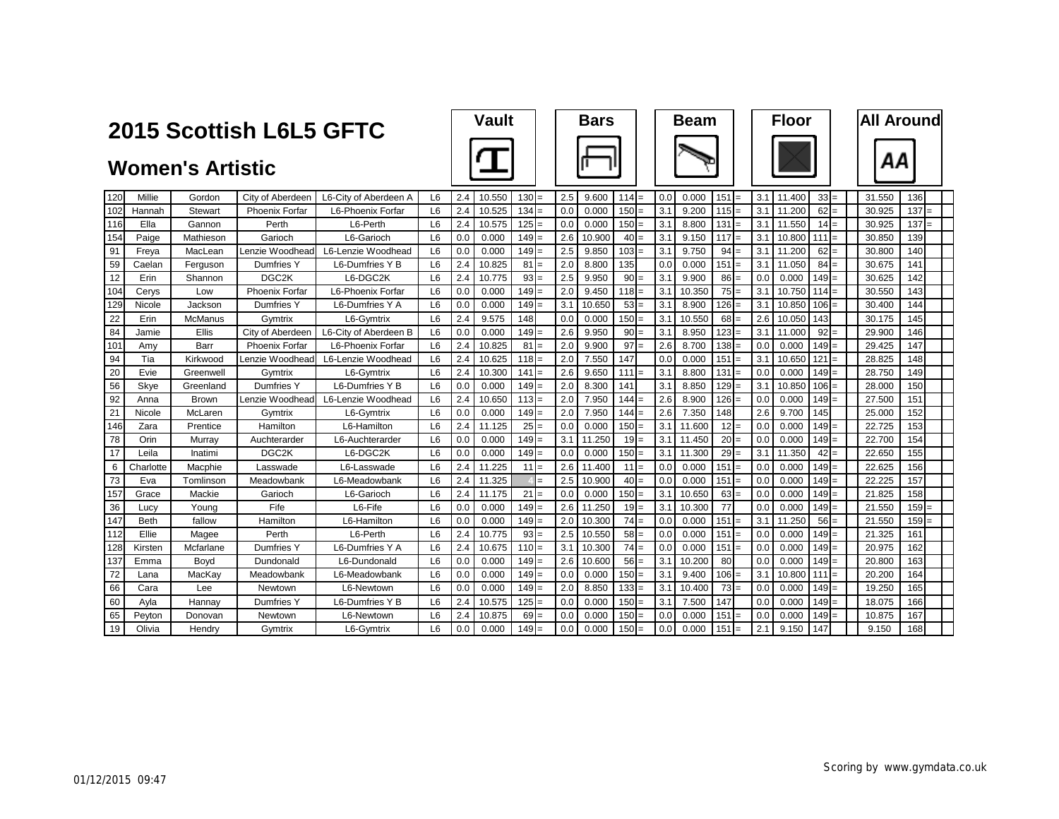|                 | 2015 Scottish L6L5 GFTC |                         |                       |                       |                |     | <b>Vault</b> |            |     | <b>Bars</b> |         |          |     | <b>Beam</b> |           |     | <b>Floor</b> |        |     | <b>All Around</b> |         |  |
|-----------------|-------------------------|-------------------------|-----------------------|-----------------------|----------------|-----|--------------|------------|-----|-------------|---------|----------|-----|-------------|-----------|-----|--------------|--------|-----|-------------------|---------|--|
|                 |                         | <b>Women's Artistic</b> |                       |                       |                |     |              |            |     |             |         |          |     |             |           |     |              |        |     | ΑА                |         |  |
| 120             | Millie                  | Gordon                  | City of Aberdeen      | L6-City of Aberdeen A | L <sub>6</sub> | 2.4 | 10.550       | 130<br>$=$ | 2.5 | 9.600       | $114 =$ |          | 0.0 | 0.000       | $151 =$   | 3.1 | 11.400       | $33 =$ |     | 31.550            | 136     |  |
| 102             | Hannah                  | Stewart                 | <b>Phoenix Forfar</b> | L6-Phoenix Forfar     | L <sub>6</sub> | 2.4 | 10.525       | 134        | 0.0 | 0.000       | $150 =$ |          | 3.1 | 9.200       | 115       | 3.1 | 11.200       | 62     |     | 30.925            | $137 =$ |  |
| 116             | Ella                    | Gannon                  | Perth                 | L6-Perth              | L <sub>6</sub> | 2.4 | 10.575       | 125        | 0.0 | 0.000       | $150 =$ |          | 3.1 | 8.800       | 131       | 3.1 | 11.550       | 14     |     | 30.925            | $137 =$ |  |
| 154             | Paige                   | Mathieson               | Garioch               | L6-Garioch            | L <sub>6</sub> | 0.0 | 0.000        | 149        | 2.6 | 10.900      | 40      |          | 3.1 | 9.150       | 117       | 3.1 | 10.800       | 111    |     | 30.850            | 139     |  |
| 91              | Freva                   | MacLean                 | Lenzie Woodhead       | L6-Lenzie Woodhead    | L <sub>6</sub> | 0.0 | 0.000        | 149        | 2.5 | 9.850       | 103     |          | 3.1 | 9.750       | 94        | 3.1 | 11,200       | 62     |     | 30.800            | 140     |  |
| 59              | Caelan                  | Ferguson                | Dumfries Y            | L6-Dumfries Y B       | L <sub>6</sub> | 2.4 | 10.825       | 81<br>$=$  | 2.0 | 8.800       | 135     |          | 0.0 | 0.000       | 151       | 3.1 | 11.050       | 84     |     | 30.675            | 141     |  |
| 12              | Erin                    | Shannon                 | DGC <sub>2K</sub>     | L6-DGC2K              | L <sub>6</sub> | 2.4 | 10.775       | 93<br>$=$  | 2.5 | 9.950       | $90 =$  |          | 3.1 | 9.900       | 86<br>$=$ | 0.0 | 0.000        | 149    |     | 30.625            | 142     |  |
| 104             | Cerys                   | Low                     | <b>Phoenix Forfar</b> | L6-Phoenix Forfar     | L <sub>6</sub> | 0.0 | 0.000        | 149        | 2.0 | 9.450       | $118 =$ |          | 3.1 | 10.350      | 75        | 3.1 | 10.750       | 114    |     | 30.550            | 143     |  |
| 129             | Nicole                  | Jackson                 | Dumfries Y            | L6-Dumfries Y A       | L <sub>6</sub> | 0.0 | 0.000        | 149        | 3.1 | 10.650      | 53      | $=$      | 3.1 | 8.900       | 126       | 3.1 | 10.850       | 106    |     | 30.400            | 144     |  |
| 22              | Erin                    | McManus                 | Gvmtrix               | L6-Gymtrix            | L <sub>6</sub> | 2.4 | 9.575        | 148        | 0.0 | 0.000       | 150     | $=$      | 3.1 | 10.550      | 68        | 2.6 | 10.050       | 143    |     | 30.175            | 145     |  |
| 84              | Jamie                   | <b>Ellis</b>            | City of Aberdeen      | L6-City of Aberdeen B | L <sub>6</sub> | 0.0 | 0.000        | 149        | 2.6 | 9.950       | 90      | $=$      | 3.1 | 8.950       | 123       | 3.1 | 11.000       | 92     |     | 29.900            | 146     |  |
| 101             | Amv                     | Barr                    | <b>Phoenix Forfar</b> | L6-Phoenix Forfar     | L <sub>6</sub> | 2.4 | 10.825       | 81         | 2.0 | 9.900       | 97      |          | 2.6 | 8.700       | 138       | 0.0 | 0.000        | 149    |     | 29.425            | 147     |  |
| 94              | Tia                     | Kirkwood                | Lenzie Woodhead       | L6-Lenzie Woodhead    | L <sub>6</sub> | 2.4 | 10.625       | 118        | 2.0 | 7.550       | 147     |          | 0.0 | 0.000       | 151       | 3.1 | 10.650       | 121    |     | 28.825            | 148     |  |
| 20              | Evie                    | Greenwell               | Gymtrix               | L6-Gymtrix            | L <sub>6</sub> | 2.4 | 10.300       | 141        | 2.6 | 9.650       | $1111$  |          | 3.1 | 8.800       | 131       | 0.0 | 0.000        | 149    |     | 28.750            | 149     |  |
| 56              | Skye                    | Greenland               | Dumfries Y            | L6-Dumfries Y B       | L <sub>6</sub> | 0.0 | 0.000        | 149        | 2.0 | 8.300       | 141     |          | 3.1 | 8.850       | 129       | 3.1 | 10.850       | 106    |     | 28.000            | 150     |  |
| 92              | Anna                    | <b>Brown</b>            | Lenzie Woodhead       | L6-Lenzie Woodhead    | L <sub>6</sub> | 2.4 | 10.650       | $113 =$    | 2.0 | 7.950       | 144     | $=$      | 2.6 | 8.900       | 126       | 0.0 | 0.000        | 149    |     | 27,500            | 151     |  |
| $\overline{21}$ | Nicole                  | McLaren                 | Gymtrix               | L6-Gymtrix            | L <sub>6</sub> | 0.0 | 0.000        | 149<br>$=$ | 2.0 | 7.950       | 144     | $\equiv$ | 2.6 | 7.350       | 148       | 2.6 | 9.700        | 145    |     | 25.000            | 152     |  |
| 146             | Zara                    | Prentice                | Hamilton              | L6-Hamilton           | L <sub>6</sub> | 2.4 | 11.125       | 25<br>$=$  | 0.0 | 0.000       | $150 =$ |          | 3.1 | 11.600      | 12        | 0.0 | 0.000        | 149    |     | 22.725            | 153     |  |
| 78              | Orin                    | Murray                  | Auchterarder          | L6-Auchterarder       | L <sub>6</sub> | 0.0 | 0.000        | 149        | 3.1 | 11.250      | 19      | $=$      | 3.1 | 11.450      | 20        | 0.0 | 0.000        | 149    | $=$ | 22.700            | 154     |  |
| 17              | Leila                   | Inatimi                 | DGC <sub>2K</sub>     | L6-DGC2K              | L <sub>6</sub> | 0.0 | 0.000        | 149        | 0.0 | 0.000       | 150     | $=$      | 3.1 | 11.300      | 29        | 3.1 | 11.350       | 42     |     | 22.650            | 155     |  |
| 6               | Charlotte               | Macphie                 | Lasswade              | L6-Lasswade           | L <sub>6</sub> | 2.4 | 11.225       | 11<br>$=$  | 2.6 | 11.400      | 11      | $=$      | 0.0 | 0.000       | 151       | 0.0 | 0.000        | 149    |     | 22.625            | 156     |  |
| 73              | Eva                     | Tomlinson               | Meadowbank            | L6-Meadowbank         | L <sub>6</sub> | 2.4 | 11.325       |            | 2.5 | 10.900      | 40      | $=$      | 0.0 | 0.000       | 151       | 0.0 | 0.000        | 149    |     | 22.225            | 157     |  |
| 157             | Grace                   | Mackie                  | Garioch               | L6-Garioch            | L <sub>6</sub> | 2.4 | 11.175       | 21         | 0.0 | 0.000       | 150     | $=$      | 3.1 | 10.650      | $63 =$    | 0.0 | 0.000        | 149    |     | 21.825            | 158     |  |
| 36              | Lucy                    | Youna                   | Fife                  | L6-Fife               | L <sub>6</sub> | 0.0 | 0.000        | 149        | 2.6 | 11.250      | $19 =$  |          | 3.1 | 10.300      | 77        | 0.0 | 0.000        | 149    |     | 21.550            | $159 =$ |  |
| 147             | <b>Beth</b>             | fallow                  | Hamilton              | L6-Hamilton           | L <sub>6</sub> | 0.0 | 0.000        | 149        | 2.0 | 10.300      | 74      | $=$      | 0.0 | 0.000       | 151       | 3.1 | 11.250       | 56     |     | 21.550            | $159 =$ |  |
| 112             | Ellie                   | Magee                   | Perth                 | L6-Perth              | L <sub>6</sub> | 2.4 | 10.775       | 93         | 2.5 | 10.550      | 58      |          | 0.0 | 0.000       | 151       | 0.0 | 0.000        | 149    |     | 21.325            | 161     |  |
| 128             | Kirsten                 | Mcfarlane               | Dumfries Y            | L6-Dumfries Y A       | L <sub>6</sub> | 2.4 | 10.675       | 110        | 3.1 | 10.300      | $74 =$  |          | 0.0 | 0.000       | 151       | 0.0 | 0.000        | 149    |     | 20.975            | 162     |  |
| 137             | Emma                    | Bovd                    | Dundonald             | L6-Dundonald          | L <sub>6</sub> | 0.0 | 0.000        | 149        | 2.6 | 10.600      | 56      | $=$      | 3.1 | 10.200      | 80        | 0.0 | 0.000        | 149    |     | 20.800            | 163     |  |
| 72              | Lana                    | MacKay                  | Meadowbank            | L6-Meadowbank         | L <sub>6</sub> | 0.0 | 0.000        | 149<br>$=$ | 0.0 | 0.000       | $150 =$ |          | 3.1 | 9.400       | 106       | 3.1 | 10.800       | 111    |     | 20.200            | 164     |  |
| 66              | Cara                    | Lee                     | Newtown               | L6-Newtown            | L <sub>6</sub> | 0.0 | 0.000        | 149        | 2.0 | 8.850       | 133     | $=$      | 3.1 | 10.400      | 73        | 0.0 | 0.000        | 149    |     | 19.250            | 165     |  |
| 60              | Ayla                    | Hannav                  | Dumfries Y            | L6-Dumfries Y B       | L <sub>6</sub> | 2.4 | 10.575       | 125        | 0.0 | 0.000       | 150     | $=$      | 3.1 | 7.500       | 147       | 0.0 | 0.000        | 149    |     | 18.075            | 166     |  |
| 65              | Pevton                  | Donovan                 | Newtown               | L6-Newtown            | L <sub>6</sub> | 2.4 | 10.875       | 69         | 0.0 | 0.000       | 150     | $=$      | 0.0 | 0.000       | 151       | 0.0 | 0.000        | 149    |     | 10.875            | 167     |  |
| 19              | Olivia                  | Hendry                  | Gymtrix               | L6-Gymtrix            | L <sub>6</sub> | 0.0 | 0.000        | 149<br>$=$ | 0.0 | 0.000       | $150 =$ |          | 0.0 | 0.000       | 151       | 2.1 | 9.150        | 147    |     | 9.150             | 168     |  |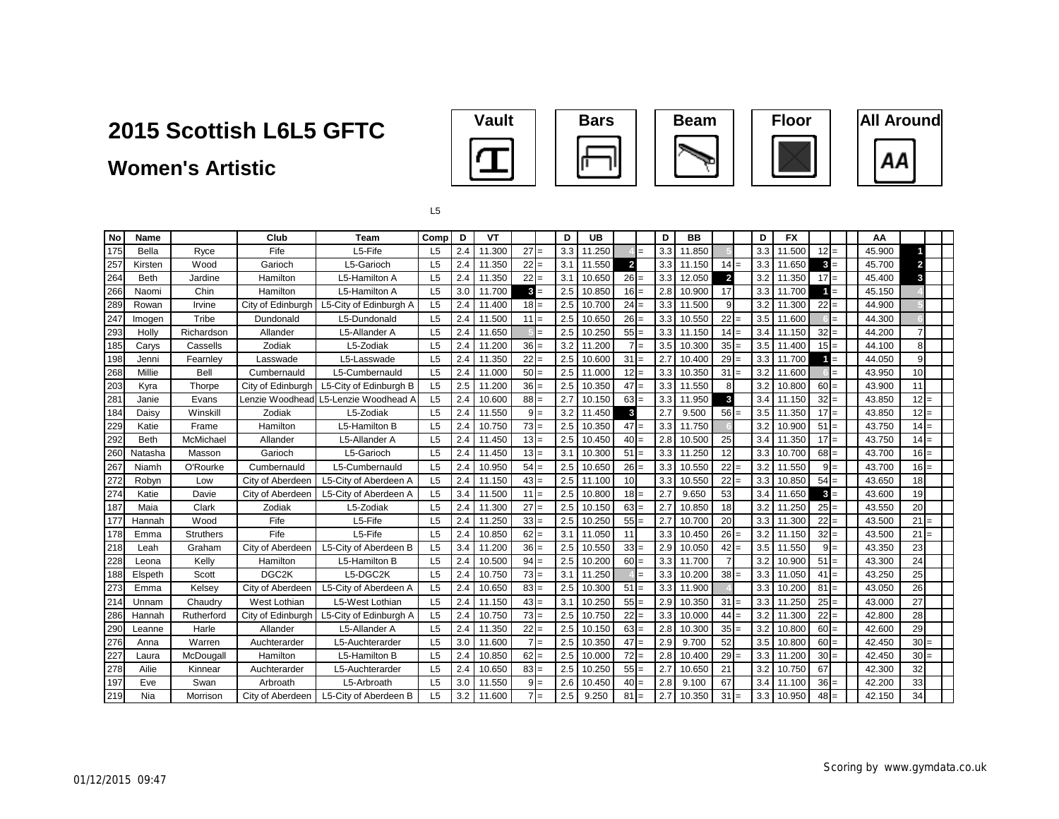### **Women's Artistic**









L5

| No                | <b>Name</b> |                  | Club              | <b>Team</b>                          | Comp           | D   | VT     |        |       | D   | <b>UB</b> |                | D   | BB     |                |     | D   | <b>FX</b> |        |     | AA     |        |  |
|-------------------|-------------|------------------|-------------------|--------------------------------------|----------------|-----|--------|--------|-------|-----|-----------|----------------|-----|--------|----------------|-----|-----|-----------|--------|-----|--------|--------|--|
| 175               | Bella       | Ryce             | Fife              | L5-Fife                              | L <sub>5</sub> | 2.4 | 11.300 | $27 =$ |       | 3.3 | 11.250    |                | 3.3 | 11.850 |                |     | 3.3 | 11.500    | $12 =$ |     | 45.900 |        |  |
| $\frac{257}{264}$ | Kirsten     | Wood             | Garioch           | L5-Garioch                           | L <sub>5</sub> | 2.4 | 11.350 | $22 =$ |       | 3.1 | 11.550    | $\overline{2}$ | 3.3 | 11.150 | $14 =$         |     | 3.3 | 11.650    | $3 =$  |     | 45.700 |        |  |
|                   | <b>Beth</b> | Jardine          | Hamilton          | L5-Hamilton A                        | L <sub>5</sub> | 2.4 | 11.350 | $22 =$ |       | 3.1 | 10.650    | $26 =$         | 3.3 | 12.050 | $\overline{2}$ |     | 3.2 | 11.350    | $17 =$ |     | 45.400 | 3      |  |
| 266               | Naomi       | Chin             | Hamilton          | L5-Hamilton A                        | L <sub>5</sub> | 3.0 | 11.700 | $3 =$  |       | 2.5 | 10.850    | $16 =$         | 2.8 | 10.900 | 17             |     | 3.3 | 11.700    | 1.     |     | 45.150 |        |  |
| 289               | Rowan       | Irvine           | City of Edinburgh | L5-City of Edinburgh A               | L <sub>5</sub> | 2.4 | 11.400 | $18 =$ |       | 2.5 | 10.700    | 24             | 3.3 | 11.500 | 9              |     | 3.2 | 11.300    | $22 =$ |     | 44.900 |        |  |
| 247               | Imogen      | Tribe            | Dundonald         | L5-Dundonald                         | L <sub>5</sub> | 2.4 | 11.500 | $11 =$ |       | 2.5 | 10.650    | $26 =$         | 3.3 | 10.550 | $22 =$         |     | 3.5 | 11.600    |        | $=$ | 44.300 |        |  |
| 293               | Holly       | Richardson       | Allander          | L5-Allander A                        | L <sub>5</sub> | 2.4 | 11.650 |        | l=    | 2.5 | 10.250    | $55 =$         | 3.3 | 11.150 | $14 =$         |     | 3.4 | 11.150    | $32 =$ |     | 44.200 |        |  |
| 185               | Carys       | Cassells         | Zodiak            | L5-Zodiak                            | L <sub>5</sub> | 2.4 | 11.200 | $36 =$ |       | 3.2 | 11.200    | $\overline{7}$ | 3.5 | 10.300 | $35 =$         |     | 3.5 | 11.400    | $15 =$ |     | 44.100 | 8      |  |
| 198               | Jenni       | Fearnley         | Lasswade          | L5-Lasswade                          | L <sub>5</sub> | 2.4 | 11.350 | $22 =$ |       | 2.5 | 10.600    | 31             | 2.7 | 10.400 | $29 =$         |     | 3.3 | 11.700    |        | $=$ | 44.050 | 9      |  |
| 268               | Millie      | Bell             | Cumbernauld       | L5-Cumbernauld                       | L <sub>5</sub> | 2.4 | 11.000 | $50 =$ |       | 2.5 | 11.000    | $12 =$         | 3.3 | 10.350 | $31 =$         | 3.2 |     | 11.600    |        | $=$ | 43.950 | 10     |  |
| 203               | Kyra        | Thorpe           | City of Edinburgh | L5-City of Edinburgh B               | L <sub>5</sub> | 2.5 | 11.200 | $36 =$ |       | 2.5 | 10.350    | 47             | 3.3 | 11.550 | 8              |     | 3.2 | 10.800    | $60 =$ |     | 43.900 | 11     |  |
| 281               | Janie       | Evans            |                   | Lenzie Woodhead L5-Lenzie Woodhead A | L <sub>5</sub> | 2.4 | 10.600 | $88 =$ |       | 2.7 | 10.150    | $63 =$         | 3.3 | 11.950 | 3              |     | 3.4 | 11.150    | $32 =$ |     | 43.850 | $12 =$ |  |
| 184               | Daisy       | Winskill         | Zodiak            | L5-Zodiak                            | L <sub>5</sub> | 2.4 | 11.550 | $9 =$  |       | 3.2 | 11.450    | $\mathbf{3}$   | 2.7 | 9.500  | $56 =$         |     | 3.5 | 11.350    | $17 =$ |     | 43.850 | $12 =$ |  |
| 229               | Katie       | Frame            | Hamilton          | L5-Hamilton B                        | L <sub>5</sub> | 2.4 | 10.750 | $73 =$ |       | 2.5 | 10.350    | $47 =$         | 3.3 | 11.750 |                |     | 3.2 | 10.900    | $51 =$ |     | 43.750 | $14 =$ |  |
| 292               | <b>Beth</b> | McMichael        | Allander          | L5-Allander A                        | L <sub>5</sub> | 2.4 | 11.450 | $13 =$ |       | 2.5 | 10.450    | $40 =$         | 2.8 | 10.500 | 25             |     | 3.4 | 11.350    | $17 =$ |     | 43.750 | $14 =$ |  |
| 260               | Natasha     | Masson           | Garioch           | L5-Garioch                           | L <sub>5</sub> | 2.4 | 11.450 | $13 =$ |       | 3.1 | 10.300    | 51             | 3.3 | 11.250 | 12             |     | 3.3 | 10.700    | $68 =$ |     | 43.700 | $16 =$ |  |
| 267<br>272        | Niamh       | O'Rourke         | Cumbernauld       | L5-Cumbernauld                       | L <sub>5</sub> | 2.4 | 10.950 | $54 =$ |       | 2.5 | 10.650    | $26 =$         | 3.3 | 10.550 | $22 =$         | 3.2 |     | 11.550    | $9 =$  |     | 43.700 | $16 =$ |  |
|                   | Robyn       | Low              | City of Aberdeen  | L5-City of Aberdeen A                | L <sub>5</sub> | 2.4 | 11.150 | $43 =$ |       | 2.5 | 11.100    | 10             | 3.3 | 10.550 | $22 =$         |     | 3.3 | 10.850    | $54 =$ |     | 43.650 | 18     |  |
| 274               | Katie       | Davie            | City of Aberdeen  | L5-City of Aberdeen A                | L <sub>5</sub> | 3.4 | 11.500 | $11 =$ |       | 2.5 | 10.800    | $18 =$         | 2.7 | 9.650  | 53             |     | 3.4 | 11.650    | $3 =$  |     | 43.600 | 19     |  |
| 187               | Maia        | Clark            | Zodiak            | L5-Zodiak                            | L <sub>5</sub> | 2.4 | 11.300 | $27 =$ |       | 2.5 | 10.150    | 63             | 2.7 | 10.850 | 18             |     | 3.2 | 11.250    | $25 =$ |     | 43.550 | 20     |  |
| 177               | Hannah      | Wood             | Fife              | L5-Fife                              | L <sub>5</sub> | 2.4 | 11.250 | $33 =$ |       | 2.5 | 10.250    | $55 =$         | 2.7 | 10.700 | 20             |     | 3.3 | 11.300    | $22 =$ |     | 43.500 | 21     |  |
| 178               | Emma        | <b>Struthers</b> | Fife              | L5-Fife                              | L <sub>5</sub> | 2.4 | 10.850 | $62 =$ |       | 3.1 | 11.050    | 11             | 3.3 | 10.450 | $26 =$         |     | 3.2 | 11.150    | $32 =$ |     | 43.500 | 21     |  |
| 218               | Leah        | Graham           | City of Aberdeen  | L5-City of Aberdeen B                | L <sub>5</sub> | 3.4 | 11.200 | $36 =$ |       | 2.5 | 10.550    | $33 =$         | 2.9 | 10.050 | $42 =$         |     | 3.5 | 11.550    | $9 =$  |     | 43.350 | 23     |  |
| 228               | Leona       | Kelly            | Hamilton          | L5-Hamilton B                        | L <sub>5</sub> | 2.4 | 10.500 | $94 =$ |       | 2.5 | 10.200    | $60 =$         | 3.3 | 11.700 |                |     | 3.2 | 10.900    | $51 =$ |     | 43.300 | 24     |  |
| 188               | Elspeth     | Scott            | DGC <sub>2K</sub> | L5-DGC2K                             | L <sub>5</sub> | 2.4 | 10.750 | $73 =$ |       | 3.1 | 11.250    |                | 3.3 | 10.200 | $38 =$         |     | 3.3 | 11.050    | $41 =$ |     | 43.250 | 25     |  |
| 273               | Emma        | Kelsey           | City of Aberdeen  | L5-City of Aberdeen A                | L <sub>5</sub> | 2.4 | 10.650 | $83 =$ |       | 2.5 | 10.300    | 51             | 3.3 | 11.900 |                |     | 3.3 | 10.200    | $81 =$ |     | 43.050 | 26     |  |
| 21                | Unnam       | Chaudry          | West Lothian      | L5-West Lothian                      | L <sub>5</sub> | 2.4 | 11.150 | $43 =$ |       | 3.1 | 10.250    | 55             | 2.9 | 10.350 | $31 =$         |     | 3.3 | 11.250    | $25 =$ |     | 43.000 | 27     |  |
| 286               | Hannah      | Rutherford       | City of Edinburgh | L5-City of Edinburgh A               | L <sub>5</sub> | 2.4 | 10.750 | $73 =$ |       | 2.5 | 10.750    | 22             | 3.3 | 10.000 | $44 =$         |     | 3.2 | 11.300    | $22 =$ |     | 42.800 | 28     |  |
| 290               | Leanne      | Harle            | Allander          | L5-Allander A                        | L <sub>5</sub> | 2.4 | 11.350 | $22 =$ |       | 2.5 | 10.150    | $63 =$         | 2.8 | 10.300 | $35 =$         | 3.2 |     | 10.800    | $60 =$ |     | 42.600 | 29     |  |
| 276               | Anna        | Warren           | Auchterarder      | L5-Auchterarder                      | L <sub>5</sub> | 3.0 | 11.600 | $7 =$  |       | 2.5 | 10.350    | $47 =$         | 2.9 | 9.700  | 52             |     | 3.5 | 10.800    | $60 =$ |     | 42.450 | $30 =$ |  |
| 227               | Laura       | McDougall        | Hamilton          | L5-Hamilton B                        | L <sub>5</sub> | 2.4 | 10.850 | $62 =$ |       | 2.5 | 10.000    | $72 =$         | 2.8 | 10.400 | $29 =$         |     | 3.3 | 11.200    | $30 =$ |     | 42.450 | $30 =$ |  |
| 278<br>197        | Ailie       | Kinnear          | Auchterarder      | L5-Auchterarder                      | L <sub>5</sub> | 2.4 | 10.650 | $83 =$ |       | 2.5 | 10.250    | $55 =$         | 2.7 | 10.650 | 21             | 3.2 |     | 10.750    | 67     |     | 42.300 | 32     |  |
|                   | Eve         | Swan             | Arbroath          | L5-Arbroath                          | L <sub>5</sub> | 3.0 | 11.550 |        | $9 =$ | 2.6 | 10.450    | $40 =$         | 2.8 | 9.100  | 67             |     | 3.4 | 11.100    | $36 =$ |     | 42.200 | 33     |  |
| 219               | Nia         | Morrison         | City of Aberdeen  | L5-City of Aberdeen B                | L <sub>5</sub> | 3.2 | 11.600 |        | $7 =$ | 2.5 | 9.250     | 81             | 2.7 | 10.350 | $31 =$         |     | 3.3 | 10.950    | $48 =$ |     | 42.150 | 34     |  |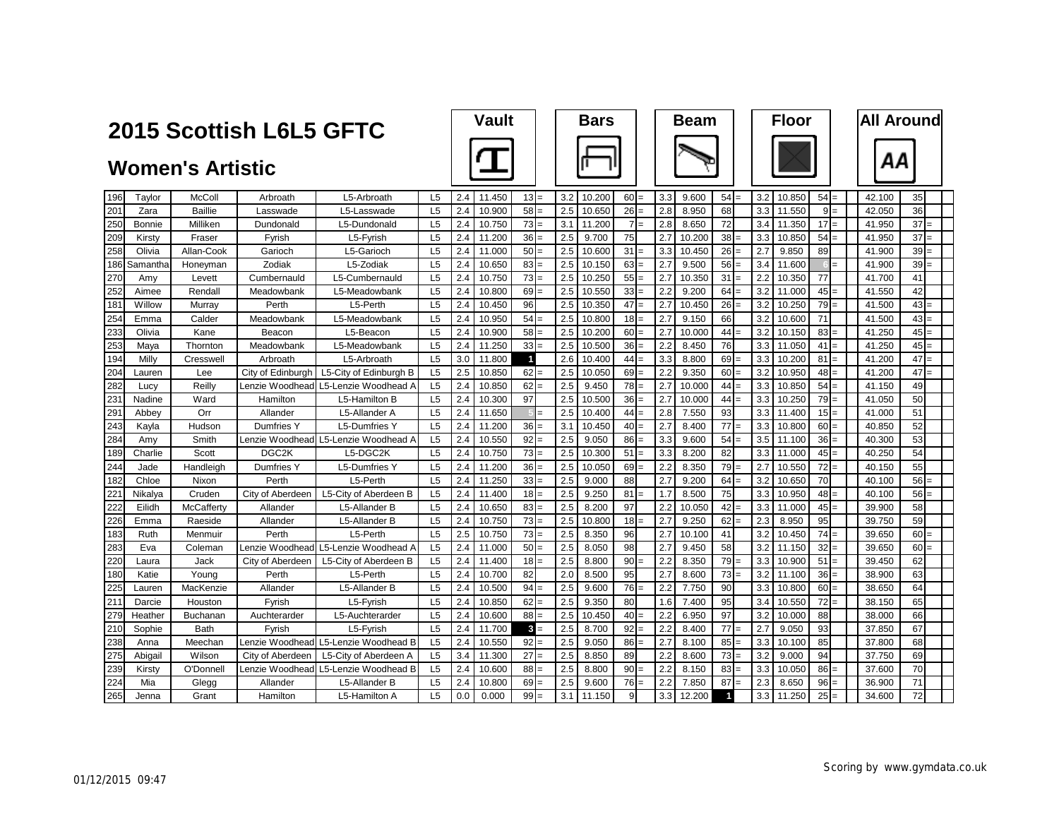|     |          | 2015 Scottish L6L5 GFTC |                   |                                      | <b>Vault</b>   |     |        | <b>Bars</b>    |     |        |                | <b>Beam</b> |     |        | <b>Floor</b>         |     |        | <b>All Around</b> |     |        |        |  |
|-----|----------|-------------------------|-------------------|--------------------------------------|----------------|-----|--------|----------------|-----|--------|----------------|-------------|-----|--------|----------------------|-----|--------|-------------------|-----|--------|--------|--|
|     |          | <b>Women's Artistic</b> |                   |                                      |                |     |        |                |     |        |                |             |     |        |                      |     |        |                   |     | ΑА     |        |  |
| 196 | Tavlor   | <b>McColl</b>           | Arbroath          | L5-Arbroath                          | L <sub>5</sub> | 2.4 | 11.450 | $13 =$         | 3.2 | 10.200 | 60             |             | 3.3 | 9.600  | 54                   | 3.2 | 10.850 | $54 =$            |     | 42.100 | 35     |  |
| 201 | Zara     | <b>Baillie</b>          | Lasswade          | L5-Lasswade                          | L5             | 2.4 | 10.900 | 58             | 2.5 | 10.650 | 26             |             | 2.8 | 8.950  | 68                   | 3.3 | 11.550 | 9                 |     | 42.050 | 36     |  |
| 250 | Bonnie   | Milliken                | Dundonald         | L5-Dundonald                         | L <sub>5</sub> | 2.4 | 10.750 | 73<br>$=$      | 3.1 | 11.200 | $\overline{7}$ | $=$         | 2.8 | 8.650  | 72                   | 3.4 | 11.350 | 17                | $=$ | 41.950 | $37 =$ |  |
| 209 | Kirstv   | Fraser                  | Fyrish            | L5-Fyrish                            | L <sub>5</sub> | 2.4 | 11.200 | 36             | 2.5 | 9.700  | 75             |             | 2.7 | 10.200 | 38                   | 3.3 | 10.850 | 54                |     | 41.950 | 37     |  |
| 258 | Olivia   | Allan-Cook              | Garioch           | L5-Garioch                           | L <sub>5</sub> | 2.4 | 11.000 | 50             | 2.5 | 10.600 | 31             |             | 3.3 | 10.450 | <b>26</b>            | 2.7 | 9.850  | 89                |     | 41.900 | 39     |  |
| 186 | Samantha | Honeyman                | Zodiak            | L5-Zodiak                            | L <sub>5</sub> | 2.4 | 10.650 | 83<br>$=$      | 2.5 | 10.150 | $63 =$         |             | 2.7 | 9.500  | 56                   | 3.4 | 11.600 |                   |     | 41.900 | 39     |  |
| 270 | Amv      | Levett                  | Cumbernauld       | L5-Cumbernauld                       | L <sub>5</sub> | 2.4 | 10.750 | 73             | 2.5 | 10.250 | 55             |             | 2.7 | 10.350 | 31                   | 2.2 | 10.350 | 77                |     | 41.700 | 41     |  |
| 252 | Aimee    | Rendall                 | Meadowbank        | L5-Meadowbank                        | L <sub>5</sub> | 2.4 | 10.800 | 69             | 2.5 | 10.550 | 33             | $=$         | 2.2 | 9.200  | 64                   | 3.2 | 11.000 | 45                |     | 41.550 | 42     |  |
| 181 | Willow   | Murrav                  | Perth             | L5-Perth                             | L5             | 2.4 | 10.450 | 96             | 2.5 | 10.350 | 47             | $=$         | 2.7 | 10.450 | 26                   | 3.2 | 10.250 | 79                |     | 41.500 | 43     |  |
| 254 | Emma     | Calder                  | Meadowbank        | L5-Meadowbank                        | L5             | 2.4 | 10.950 | 54             | 2.5 | 10.800 | 18             |             | 2.7 | 9.150  | 66                   | 3.2 | 10.600 | 71                |     | 41.500 | 43     |  |
| 233 | Olivia   | Kane                    | Beacon            | L5-Beacon                            | L5             | 2.4 | 10.900 | 58             | 2.5 | 10.200 | 60             |             | 2.7 | 10.000 | 44                   | 3.2 | 10.150 | 83                |     | 41.250 | $45 =$ |  |
| 253 | Maya     | Thornton                | Meadowbank        | L5-Meadowbank                        | L <sub>5</sub> | 2.4 | 11.250 | 33             | 2.5 | 10.500 | 36             | $=$         | 2.2 | 8.450  | 76                   | 3.3 | 11.050 | 41                |     | 41.250 | 45     |  |
| 194 | Milly    | Cresswell               | Arbroath          | L5-Arbroath                          | L <sub>5</sub> | 3.0 | 11.800 | $\overline{1}$ | 2.6 | 10.400 | 44             |             | 3.3 | 8.800  | 69                   | 3.3 | 10.200 | 81                |     | 41.200 | 47     |  |
| 204 | Lauren   | Lee                     | City of Edinburgh | L5-City of Edinburgh B               | L5             | 2.5 | 10.850 | 62             | 2.5 | 10.050 | 69             |             | 2.2 | 9.350  | 60                   | 3.2 | 10.950 | 48                |     | 41.200 | 47     |  |
| 282 | Lucy     | Reilly                  | Lenzie Woodhead   | L5-Lenzie Woodhead A                 | L <sub>5</sub> | 2.4 | 10.850 | 62             | 2.5 | 9.450  | 78             | $=$         | 2.7 | 10.000 | 44                   | 3.3 | 10.850 | 54                |     | 41.150 | 49     |  |
| 231 | Nadine   | Ward                    | Hamilton          | L5-Hamilton B                        | L <sub>5</sub> | 2.4 | 10.300 | 97             | 2.5 | 10.500 | 36             |             | 2.7 | 10.000 | 44                   | 3.3 | 10.250 | 79                |     | 41.050 | 50     |  |
| 291 | Abbey    | Orr                     | Allander          | L5-Allander A                        | L5             | 2.4 | 11.650 | $=$            | 2.5 | 10.400 | 44             | $=$         | 2.8 | 7.550  | 93                   | 3.3 | 11.400 | 15                |     | 41.000 | 51     |  |
| 243 | Kayla    | Hudson                  | Dumfries Y        | <b>L5-Dumfries Y</b>                 | L <sub>5</sub> | 2.4 | 11.200 | 36             | 3.1 | 10.450 | 40             |             | 2.7 | 8.400  | 77                   | 3.3 | 10.800 | 60                |     | 40.850 | 52     |  |
| 284 | Amv      | Smith                   |                   | Lenzie Woodhead L5-Lenzie Woodhead A | L <sub>5</sub> | 2.4 | 10.550 | 92             | 2.5 | 9.050  | 86             |             | 3.3 | 9.600  | 54                   | 3.5 | 11.100 | 36                |     | 40.300 | 53     |  |
| 189 | Charlie  | Scott                   | DGC <sub>2K</sub> | L5-DGC2K                             | L5             | 2.4 | 10.750 | 73             | 2.5 | 10.300 | 51             |             | 3.3 | 8.200  | 82                   | 3.3 | 11.000 | 45                |     | 40.250 | 54     |  |
| 244 | Jade     | Handleigh               | Dumfries Y        | L5-Dumfries Y                        | L <sub>5</sub> | 2.4 | 11.200 | 36             | 2.5 | 10.050 | 69             |             | 2.2 | 8.350  | 79                   | 2.7 | 10.550 | 72                |     | 40.150 | 55     |  |
| 182 | Chloe    | Nixon                   | Perth             | L5-Perth                             | L <sub>5</sub> | 2.4 | 11.250 | 33<br>$=$      | 2.5 | 9.000  | 88             |             | 2.7 | 9.200  | 64                   | 3.2 | 10.650 | 70                |     | 40.100 | 56     |  |
| 221 | Nikalya  | Cruden                  | City of Aberdeen  | L5-City of Aberdeen B                | L <sub>5</sub> | 2.4 | 11.400 | 18             | 2.5 | 9.250  | 81             |             | 1.7 | 8.500  | 75                   | 3.3 | 10.950 | 48                |     | 40.100 | 56     |  |
| 222 | Eilidh   | McCafferty              | Allander          | L5-Allander B                        | L <sub>5</sub> | 2.4 | 10.650 | 83             | 2.5 | 8.200  | 97             |             | 2.2 | 10.050 | 42                   | 3.3 | 11.000 | 45                |     | 39.900 | 58     |  |
| 226 | Emma     | Raeside                 | Allander          | L5-Allander B                        | L <sub>5</sub> | 2.4 | 10.750 | 73<br>$=$      | 2.5 | 10.800 | 18             |             | 2.7 | 9.250  | 62                   | 2.3 | 8.950  | 95                |     | 39.750 | 59     |  |
| 183 | Ruth     | Menmuir                 | Perth             | L5-Perth                             | L5             | 2.5 | 10.750 | 73             | 2.5 | 8.350  | 96             |             | 2.7 | 10.100 | 41                   | 3.2 | 10.450 | 74                |     | 39.650 | 60     |  |
| 283 | Eva      | Coleman                 | Lenzie Woodhead   | L5-Lenzie Woodhead A                 | L <sub>5</sub> | 2.4 | 11.000 | 50             | 2.5 | 8.050  | 98             |             | 2.7 | 9.450  | 58                   | 3.2 | 11.150 | 32                |     | 39.650 | 60:    |  |
| 220 | Laura    | Jack                    | City of Aberdeen  | L5-City of Aberdeen B                | L <sub>5</sub> | 2.4 | 11.400 | 18             | 2.5 | 8.800  | 90             |             | 2.2 | 8.350  | 79                   | 3.3 | 10.900 | 51                |     | 39.450 | 62     |  |
| 180 | Katie    | Young                   | Perth             | L5-Perth                             | L <sub>5</sub> | 2.4 | 10.700 | 82             | 2.0 | 8.500  | 95             |             | 2.7 | 8.600  | 73                   | 3.2 | 11.100 | 36                |     | 38.900 | 63     |  |
| 225 | Lauren   | MacKenzie               | Allander          | L5-Allander B                        | L <sub>5</sub> | 2.4 | 10.500 | 94             | 2.5 | 9.600  | 76             |             | 2.2 | 7.750  | 90                   | 3.3 | 10.800 | 60                |     | 38.650 | 64     |  |
| 211 | Darcie   | Houston                 | Fyrish            | L5-Fyrish                            | L <sub>5</sub> | 2.4 | 10.850 | 62             | 2.5 | 9.350  | 80             |             | 1.6 | 7.400  | 95                   | 3.4 | 10.550 | 72                |     | 38.150 | 65     |  |
| 279 | Heather  | Buchanan                | Auchterarder      | L5-Auchterarder                      | L5             | 2.4 | 10.600 | 88             | 2.5 | 10.450 | 40             |             | 2.2 | 6.950  | 97                   | 3.2 | 10.000 | 88                |     | 38.000 | 66     |  |
| 210 | Sophie   | <b>Bath</b>             | Fvrish            | L5-Fyrish                            | L <sub>5</sub> | 2.4 | 11.700 | 3              | 2.5 | 8.700  | 92             |             | 2.2 | 8.400  | 77                   | 2.7 | 9.050  | 93                |     | 37.850 | 67     |  |
| 238 | Anna     | Meechan                 | Lenzie Woodhead   | L5-Lenzie Woodhead B                 | L <sub>5</sub> | 2.4 | 10.550 | 92<br>$=$      | 2.5 | 9.050  | 86             | $=$         | 2.7 | 8.100  | 85                   | 3.3 | 10.100 | 85                |     | 37.800 | 68     |  |
| 275 | Abigail  | Wilson                  | City of Aberdeen  | L5-City of Aberdeen A                | L <sub>5</sub> | 3.4 | 11.300 | 27             | 2.5 | 8.850  | 89             |             | 2.2 | 8.600  | 73                   | 3.2 | 9.000  | 94                |     | 37.750 | 69     |  |
| 239 | Kirsty   | O'Donnel                | Lenzie Woodheac   | L5-Lenzie Woodhead B                 | L5             | 2.4 | 10.600 | 88             | 2.5 | 8.800  | 90             |             | 2.2 | 8.150  | 83                   | 3.3 | 10.050 | 86                |     | 37.600 | 70     |  |
| 224 | Mia      | Glegg                   | Allander          | L5-Allander B                        | L5             | 2.4 | 10.800 | 69<br>$=$      | 2.5 | 9.600  | 76             |             | 2.2 | 7.850  | 87                   | 2.3 | 8.650  | 96                |     | 36.900 | 71     |  |
| 265 | Jenna    | Grant                   | Hamilton          | L5-Hamilton A                        | L5             | 0.0 | 0.000  | 99             | 3.1 | 11.150 | 9              |             | 3.3 | 12.200 | $\blacktriangleleft$ | 3.3 | 11.250 | 25                |     | 34.600 | 72     |  |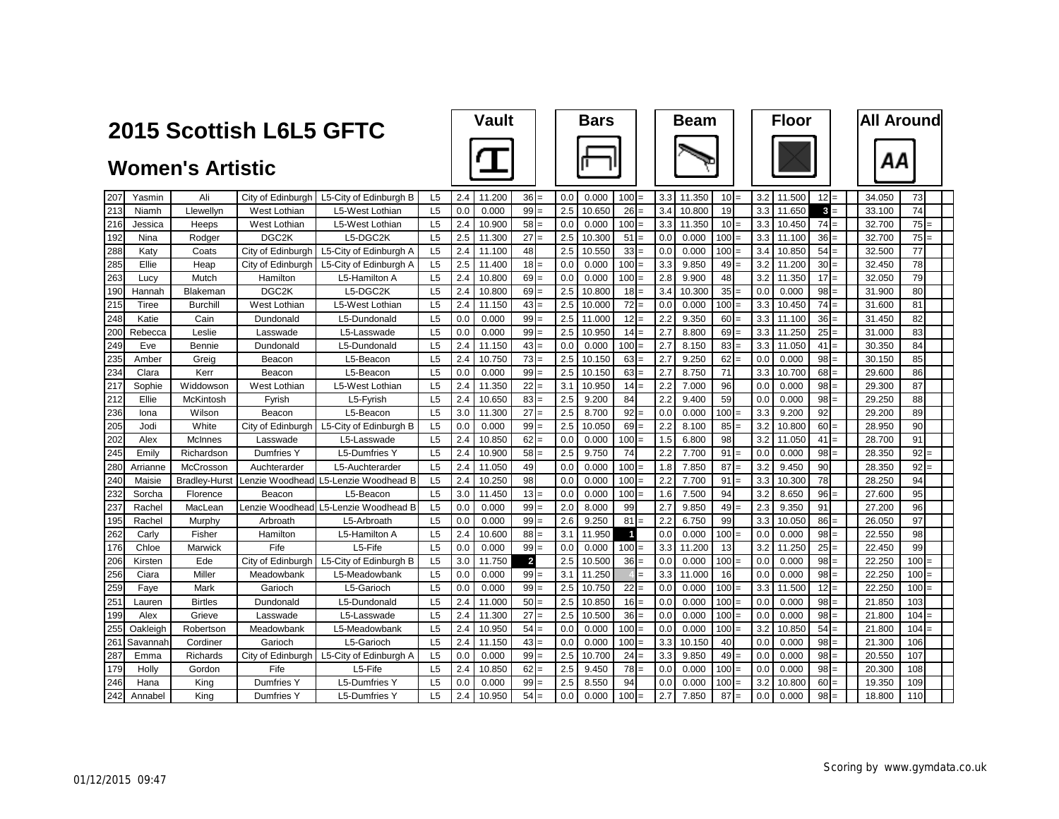|     |          | 2015 Scottish L6L5 GFTC |                    |                                            | <b>Vault</b>   |     |        | <b>Bars</b>     |     |        | <b>Beam</b>      |     |        | <b>Floor</b> |     |        | <b>All Around</b>       |        |         |
|-----|----------|-------------------------|--------------------|--------------------------------------------|----------------|-----|--------|-----------------|-----|--------|------------------|-----|--------|--------------|-----|--------|-------------------------|--------|---------|
|     |          | <b>Women's Artistic</b> |                    |                                            |                |     |        |                 |     |        |                  |     |        |              |     |        |                         | ΑА     |         |
| 207 | Yasmin   | Ali                     |                    | City of Edinburgh   L5-City of Edinburgh B | L5             | 2.4 | 11.200 | $36 =$          | 0.0 | 0.000  | $100 =$          | 3.3 | 11.350 | 10           | 3.2 | 11.500 | 12<br>$=$               | 34.050 | 73      |
| 213 | Niamh    | Llewellyn               | West Lothian       | L5-West Lothian                            | L <sub>5</sub> | 0.0 | 0.000  | 99              | 2.5 | 10.650 | 26               | 3.4 | 10.800 | 19           | 3.3 | 11.650 | $\mathbf{3}$            | 33.100 | 74      |
| 216 | Jessica  | Heeps                   | West Lothian       | L5-West Lothian                            | L <sub>5</sub> | 2.4 | 10.900 | $58 =$          | 0.0 | 0.000  | $100 =$          | 3.3 | 11.350 | $10 =$       | 3.3 | 10.450 | 74<br>$=$               | 32.700 | $75 =$  |
| 192 | Nina     | Rodger                  | DGC <sub>2K</sub>  | L5-DGC2K                                   | L <sub>5</sub> | 2.5 | 11.300 | 27              | 2.5 | 10.300 | 51               | 0.0 | 0.000  | 100          | 3.3 | 11.100 | 36                      | 32.700 | 75      |
| 288 | Katy     | Coats                   | City of Edinburgh  | L5-City of Edinburgh A                     | L <sub>5</sub> | 2.4 | 11.100 | 48              | 2.5 | 10.550 | 33               | 0.0 | 0.000  | 100          | 3.4 | 10.850 | 54<br>$=$               | 32.500 | 77      |
| 285 | Ellie    | Heap                    | City of Edinburgh  | L5-City of Edinburgh A                     | L <sub>5</sub> | 2.5 | 11.400 | $18 =$          | 0.0 | 0.000  | $100 =$          | 3.3 | 9.850  | 49           | 3.2 | 11.200 | 30<br>$=$               | 32.450 | 78      |
| 263 | Lucy     | Mutch                   | Hamilton           | L5-Hamilton A                              | L <sub>5</sub> | 2.4 | 10.800 | 69              | 0.0 | 0.000  | 100              | 2.8 | 9.900  | 48           | 3.2 | 11.350 | 17                      | 32.050 | 79      |
| 190 | Hannah   | Blakeman                | DGC <sub>2</sub> K | L5-DGC2K                                   | L <sub>5</sub> | 2.4 | 10.800 | $69 =$          | 2.5 | 10.800 | $18 =$           | 3.4 | 10.300 | 35           | 0.0 | 0.000  | 98<br>$=$               | 31.900 | 80      |
| 215 | Tiree    | Burchill                | West Lothian       | L5-West Lothian                            | L <sub>5</sub> | 2.4 | 11.150 | $43 =$          | 2.5 | 10.000 | $72 =$           | 0.0 | 0.000  | 100          | 3.3 | 10.450 | 74<br>$\qquad \qquad -$ | 31.600 | 81      |
| 248 | Katie    | Cain                    | Dundonald          | L5-Dundonald                               | L5             | 0.0 | 0.000  | 99              | 2.5 | 11.000 | 12               | 2.2 | 9.350  | 60           | 3.3 | 11.100 | 36                      | 31.450 | 82      |
| 200 | Rebecca  | Leslie                  | Lasswade           | L5-Lasswade                                | L5             | 0.0 | 0.000  | $99 =$          | 2.5 | 10.950 | $14 =$           | 2.7 | 8.800  | 69           | 3.3 | 11.250 | 25<br>$=$               | 31.000 | 83      |
| 249 | Eve      | Bennie                  | Dundonald          | L5-Dundonald                               | L <sub>5</sub> | 2.4 | 11.150 | $43 =$          | 0.0 | 0.000  | 100              | 2.7 | 8.150  | 83           | 3.3 | 11.050 | 41                      | 30.350 | 84      |
| 235 | Amber    | Greig                   | Beacon             | L5-Beacon                                  | L5             | 2.4 | 10.750 | $73 =$          | 2.5 | 10.150 | 63               | 2.7 | 9.250  | 62           | 0.0 | 0.000  | 98                      | 30.150 | 85      |
| 234 | Clara    | Kerr                    | Beacon             | L5-Beacon                                  | L5             | 0.0 | 0.000  | 99              | 2.5 | 10.150 | 63               | 2.7 | 8.750  | 71           | 3.3 | 10.700 | 68                      | 29.600 | 86      |
| 217 | Sophie   | Widdowson               | West Lothian       | L5-West Lothian                            | L <sub>5</sub> | 2.4 | 11.350 | 22              | 3.1 | 10.950 | 14               | 2.2 | 7.000  | 96           | 0.0 | 0.000  | 98                      | 29.300 | 87      |
| 212 | Ellie    | McKintosh               | Fyrish             | L5-Fyrish                                  | L <sub>5</sub> | 2.4 | 10.650 | 83              | 2.5 | 9.200  | 84               | 2.2 | 9.400  | 59           | 0.0 | 0.000  | 98                      | 29.250 | 88      |
| 236 | lona     | Wilson                  | Beacon             | L5-Beacon                                  | L5             | 3.0 | 11.300 | 27              | 2.5 | 8.700  | 92               | 0.0 | 0.000  | 100          | 3.3 | 9.200  | 92                      | 29.200 | 89      |
| 205 | Jodi     | White                   | City of Edinburgh  | L5-City of Edinburgh B                     | L <sub>5</sub> | 0.0 | 0.000  | 99              | 2.5 | 10.050 | 69               | 2.2 | 8.100  | 85           | 3.2 | 10.800 | 60                      | 28.950 | 90      |
| 202 | Alex     | McInnes                 | Lasswade           | L5-Lasswade                                | L <sub>5</sub> | 2.4 | 10.850 | $62 =$          | 0.0 | 0.000  | 100 <sub>l</sub> | 1.5 | 6.800  | 98           | 3.2 | 11.050 | 41                      | 28.700 | 91      |
| 245 | Emily    | Richardson              | Dumfries Y         | <b>L5-Dumfries Y</b>                       | L <sub>5</sub> | 2.4 | 10.900 | $58 =$          | 2.5 | 9.750  | 74               | 2.2 | 7.700  | 91           | 0.0 | 0.000  | 98                      | 28.350 | 92      |
| 280 | Arrianne | McCrosson               | Auchterarder       | L5-Auchterarder                            | L <sub>5</sub> | 2.4 | 11.050 | 49              | 0.0 | 0.000  | 100              | 1.8 | 7.850  | 87           | 3.2 | 9.450  | 90                      | 28.350 | 92      |
| 240 | Maisie   | Bradley-Hurs            | Lenzie Woodhead    | L5-Lenzie Woodhead B                       | L <sub>5</sub> | 2.4 | 10.250 | 98              | 0.0 | 0.000  | 100              | 2.2 | 7.700  | 91           | 3.3 | 10.300 | 78                      | 28.250 | 94      |
| 232 | Sorcha   | Florence                | Beacon             | L5-Beacon                                  | L <sub>5</sub> | 3.0 | 11.450 | 13 <sup>1</sup> | 0.0 | 0.000  | 100              | 1.6 | 7.500  | 94           | 3.2 | 8.650  | 96                      | 27.600 | 95      |
| 237 | Rachel   | MacLean                 | Lenzie Woodhead    | L5-Lenzie Woodhead B                       | L5             | 0.0 | 0.000  | 99              | 2.0 | 8.000  | 99               | 2.7 | 9.850  | 49           | 2.3 | 9.350  | 91                      | 27.200 | 96      |
| 195 | Rachel   | Murphy                  | Arbroath           | L5-Arbroath                                | L5             | 0.0 | 0.000  | $99 =$          | 2.6 | 9.250  | 81               | 2.2 | 6.750  | 99           | 3.3 | 10.050 | 86<br>$=$               | 26.050 | 97      |
| 262 | Carly    | Fisher                  | Hamilton           | L5-Hamilton A                              | L5             | 2.4 | 10.600 | 88              | 3.1 | 11.950 | $\blacksquare$   | 0.0 | 0.000  | 100          | 0.0 | 0.000  | 98                      | 22.550 | 98      |
| 176 | Chloe    | Marwick                 | Fife               | L5-Fife                                    | L5             | 0.0 | 0.000  | 99              | 0.0 | 0.000  | 100 <sup>1</sup> | 3.3 | 11.200 | 13           | 3.2 | 11.250 | 25<br>$=$               | 22.450 | 99      |
| 206 | Kirsten  | Ede                     | City of Edinburgh  | L5-City of Edinburgh B                     | L <sub>5</sub> | 3.0 | 11.750 | $\overline{2}$  | 2.5 | 10.500 | 36<br>$=$        | 0.0 | 0.000  | 100          | 0.0 | 0.000  | 98<br>$=$               | 22.250 | $100 =$ |
| 256 | Ciara    | Miller                  | Meadowbank         | L5-Meadowbank                              | L <sub>5</sub> | 0.0 | 0.000  | 99              | 3.1 | 11.250 |                  | 3.3 | 11.000 | 16           | 0.0 | 0.000  | 98                      | 22.250 | 100     |
| 259 | Faye     | Mark                    | Garioch            | L5-Garioch                                 | L5             | 0.0 | 0.000  | $99 =$          | 2.5 | 10.750 | $22 =$           | 0.0 | 0.000  | 100          | 3.3 | 11.500 | 12<br>$=$               | 22.250 | 100     |
| 251 | Lauren   | <b>Birtles</b>          | Dundonald          | L5-Dundonald                               | L <sub>5</sub> | 2.4 | 11.000 | $50 =$          | 2.5 | 10.850 | 16               | 0.0 | 0.000  | 100          | 0.0 | 0.000  | 98                      | 21.850 | 103     |
| 199 | Alex     | Grieve                  | Lasswade           | L5-Lasswade                                | L <sub>5</sub> | 2.4 | 11.300 | 27<br>$=$       | 2.5 | 10.500 | 36               | 0.0 | 0.000  | 100          | 0.0 | 0.000  | 98<br>$=$               | 21.800 | 104     |
| 255 | Oakleigh | Robertson               | Meadowbank         | L5-Meadowbank                              | L5             | 2.4 | 10.950 | 54              | 0.0 | 0.000  | 100              | 0.0 | 0.000  | 100          | 3.2 | 10.850 | 54<br>$=$               | 21.800 | 104     |
| 261 | Savannah | Cordiner                | Garioch            | L5-Garioch                                 | L <sub>5</sub> | 2.4 | 11.150 | 43              | 0.0 | 0.000  | 100              | 3.3 | 10.150 | 40           | 0.0 | 0.000  | 98                      | 21.300 | 106     |
| 287 | Emma     | Richards                | City of Edinburgh  | L5-City of Edinburgh A                     | L <sub>5</sub> | 0.0 | 0.000  | 99              | 2.5 | 10.700 | 24               | 3.3 | 9.850  | 49           | 0.0 | 0.000  | 98                      | 20.550 | 107     |
| 179 | Holly    | Gordon                  | Fife               | L5-Fife                                    | L <sub>5</sub> | 2.4 | 10.850 | 62              | 2.5 | 9.450  | 78               | 0.0 | 0.000  | 100          | 0.0 | 0.000  | 98                      | 20.300 | 108     |
| 246 | Hana     | Kina                    | Dumfries Y         | <b>L5-Dumfries Y</b>                       | L <sub>5</sub> | 0.0 | 0.000  | 99              | 2.5 | 8.550  | 94               | 0.0 | 0.000  | 100          | 3.2 | 10.800 | 60                      | 19.350 | 109     |
| 242 | Annabel  | King                    | Dumfries Y         | L5-Dumfries Y                              | L <sub>5</sub> | 2.4 | 10.950 | $54 =$          | 0.0 | 0.000  | $100 =$          | 2.7 | 7.850  | 87           | 0.0 | 0.000  | 98<br>$=$               | 18.800 | 110     |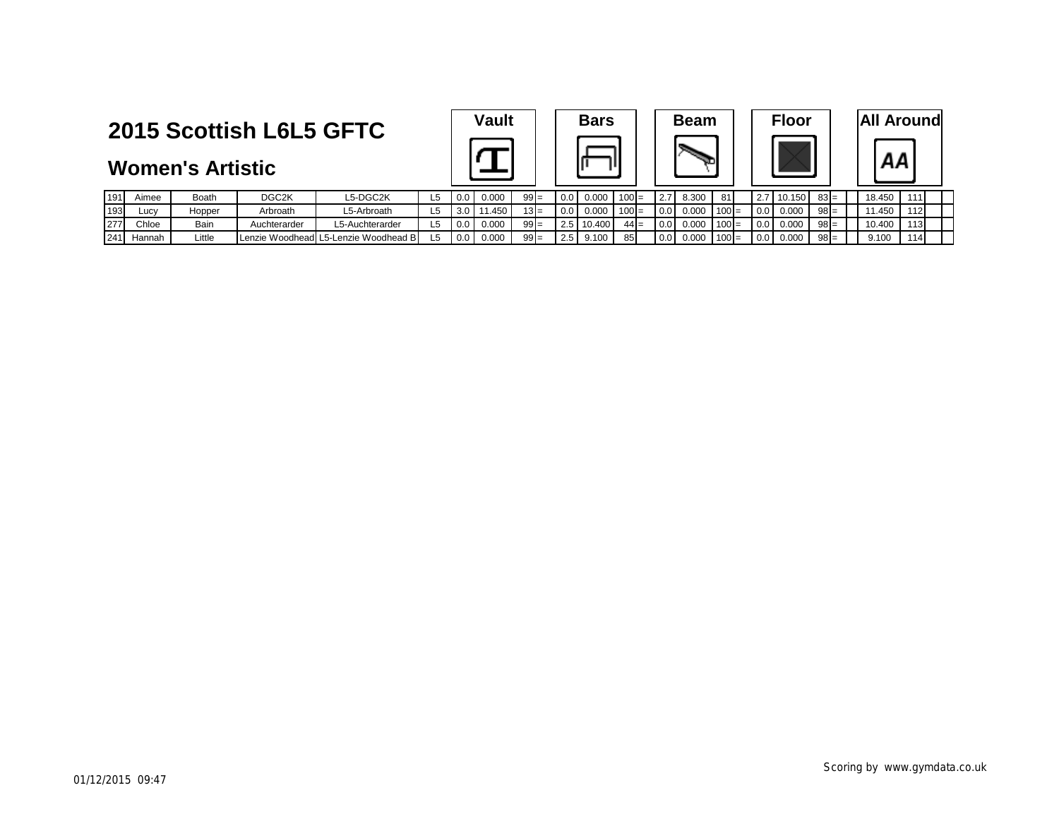**Women's Artistic**

| <b>Vault</b> | <b>Bars</b> | <b>Beam</b>                | <b>Floor</b>                          | <b>All Around</b> |
|--------------|-------------|----------------------------|---------------------------------------|-------------------|
|              |             |                            |                                       |                   |
| .<br>---     | .<br>.      | $ -$<br>$  -$<br>- - - - - | $  \overline{\phantom{a}}$<br>------- | .<br>.            |

| <b>Beam</b> |
|-------------|
|             |

| or | <b>All Arou</b> |
|----|-----------------|
|    |                 |

| 191 | Aimee  | Boath  | DGC <sub>2</sub> K | L5-DGC2K                             | L5 | $0.0 \perp$    | 0.000 | $99 =$ | 0.0 | 0.000      | $100 =$ | 2.71          | 8.300 | 81      |                  | 2.7 10.150 | $83 =$ | 18.450 | 1111 |  |
|-----|--------|--------|--------------------|--------------------------------------|----|----------------|-------|--------|-----|------------|---------|---------------|-------|---------|------------------|------------|--------|--------|------|--|
| 193 | _ucv   | Hopper | Arbroath           | -5-Arbroath                          | L5 | $3.0\text{ I}$ | 1.450 | $13 =$ | 0.0 | 0.000      | $100 =$ | $0.0\sqrt{2}$ | 0.000 | 100     | $\vert$ 0.0      | 0.000      | $98 =$ | 1.450  | 112I |  |
| 277 | Chloe  | Bain   | Auchterarder       | L5-Auchterarder                      | L5 | $0.0\,$        | 0.000 | $99 =$ |     | 2.5 10.400 | $44 =$  | $0.0\sqrt{2}$ | 0.000 | $100 =$ | $\overline{0.0}$ | 0.000      | $98 =$ | 10.400 | 113l |  |
| 241 | Hannah | Little |                    | Lenzie Woodhead L5-Lenzie Woodhead B | L5 | $0.0$ I        | 0.000 | $99 =$ | 2.5 | 9.100      | 85      | 0.0           | 0.000 | $100 =$ | $\vert$ 0.0      | 0.000      | $98 =$ | 9.100  | 114  |  |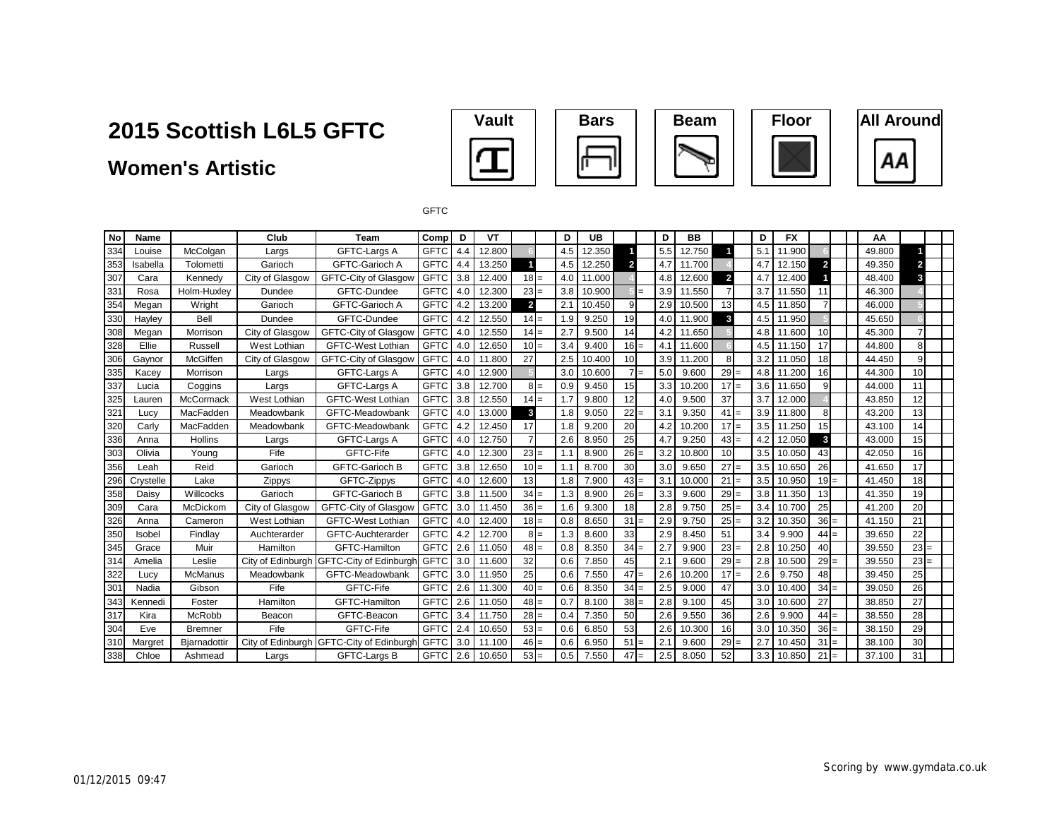### **Women's Artistic**











**GFTC** 

| No  | Name      |                | Club              | <b>Team</b>                              | Comp        | D   | VT     |                |        | D   | UB     |                | D   | <b>BB</b> |                | D   | <b>FX</b> |              |        | AA     |    |     |
|-----|-----------|----------------|-------------------|------------------------------------------|-------------|-----|--------|----------------|--------|-----|--------|----------------|-----|-----------|----------------|-----|-----------|--------------|--------|--------|----|-----|
| 334 | Louise    | McColgan       | Largs             | GFTC-Largs A                             | <b>GFTC</b> | 4.4 | 12.800 |                |        | 4.5 | 12.350 |                | 5.5 | 12.750    |                | 5.1 | 11.900    |              |        | 49.800 |    |     |
| 353 | Isabella  | Tolometti      | Garioch           | <b>GFTC-Garioch A</b>                    | <b>GFTC</b> | 4.4 | 13.250 |                |        | 4.5 | 12.250 | $\overline{2}$ | 4.7 | 11.700    |                | 4.7 | 12.150    | $\mathbf{2}$ |        | 49.350 | 2  |     |
| 307 | Cara      | Kennedv        | City of Glasgow   | <b>GFTC-City of Glasgow</b>              | <b>GFTC</b> | 3.8 | 12.400 | $18 =$         |        | 4.0 | 11.000 |                | 4.8 | 12.600    | $\overline{2}$ | 4.  | 12.400    |              |        | 48.400 | 3  |     |
| 331 | Rosa      | Holm-Huxley    | Dundee            | GFTC-Dundee                              | <b>GFTC</b> | 4.0 | 12.300 | $23 =$         |        | 3.8 | 10.900 |                | 3.9 | 11.550    |                | 3.7 | 11.550    | 11           |        | 46.300 |    |     |
| 354 | Megan     | Wright         | Garioch           | <b>GFTC-Garioch A</b>                    | <b>GFTC</b> | 4.2 | 13.200 | $\overline{2}$ |        | 2.1 | 10.450 | 9              | 2.9 | 10.500    | 13             | 4.5 | 11.850    |              |        | 46.000 |    |     |
| 330 | Hayley    | Bell           | Dundee            | GFTC-Dundee                              | <b>GFTC</b> | 4.2 | 12.550 | $14 =$         |        | 1.9 | 9.250  | 19             | 4.0 | 11.900    | 3              | 4.5 | 11.950    |              |        | 45.650 |    |     |
| 308 | Megan     | Morrison       | City of Glasgow   | <b>GFTC-City of Glasgow</b>              | <b>GFTC</b> | 4.0 | 12.550 | $14 =$         |        | 2.7 | 9.500  | 14             | 4.2 | 11.650    |                | 4.8 | 11.600    | 10           |        | 45.300 |    |     |
| 328 | Ellie     | Russell        | West Lothian      | <b>GFTC-West Lothian</b>                 | <b>GFTC</b> | 4.0 | 12.650 | $10 =$         |        | 3.4 | 9.400  | $16 =$         | 4.1 | 11.600    |                | 4.5 | 11.150    | 17           |        | 44.800 | 8  |     |
| 306 | Gaynor    | McGiffen       | City of Glasgow   | <b>GFTC-City of Glasgow</b>              | <b>GFTC</b> | 4.0 | 11.800 | 27             |        | 2.5 | 10.400 | 10             | 3.9 | 11.200    |                | 3.2 | 11.050    | 18           |        | 44.450 | 9  |     |
| 335 | Kacev     | Morrison       | Largs             | GFTC-Largs A                             | <b>GFTC</b> | 4.0 | 12.900 |                |        | 3.0 | 10.600 | 7 <sup>1</sup> | 5.0 | 9.600     | $29 =$         | 4.8 | 11.200    | 16           |        | 44.300 | 10 |     |
| 337 | Lucia     | Coggins        | Largs             | GFTC-Largs A                             | <b>GFTC</b> | 3.8 | 12.700 |                | $8 =$  | 0.9 | 9.450  | 15             | 3.3 | 10.200    | $17 =$         | 3.6 | 11.650    | 9            |        | 44.000 | 11 |     |
| 325 | Lauren    | McCormack      | West Lothian      | GFTC-West Lothian                        | <b>GFTC</b> | 3.8 | 12.550 | $14 =$         |        | 1.7 | 9.800  | 12             | 4.0 | 9.500     | 37             | 3.7 | 12.000    |              |        | 43.850 | 12 |     |
| 321 | Lucv      | MacFadden      | Meadowbank        | GFTC-Meadowbank                          | <b>GFTC</b> | 4.0 | 13.000 | 3              |        | 1.8 | 9.050  | 22             | 3.1 | 9.350     | $41 =$         | 3.9 | 11.800    |              |        | 43.200 | 13 |     |
| 320 | Carly     | MacFadden      | Meadowbank        | GFTC-Meadowbank                          | <b>GFTC</b> | 4.2 | 12.450 | 17             |        | 1.8 | 9.200  | 20             | 4.2 | 10.200    | $17 =$         | 3.5 | 11.250    | 15           |        | 43.100 | 14 |     |
| 336 | Anna      | Hollins        | Largs             | GFTC-Largs A                             | <b>GFTC</b> | 4.0 | 12.750 | $\overline{7}$ |        | 2.6 | 8.950  | 25             | 4.7 | 9.250     | $43 =$         | 4.2 | 12.050    | 3            |        | 43.000 | 15 |     |
| 303 | Olivia    | Young          | Fife              | GFTC-Fife                                | <b>GFTC</b> | 4.0 | 12.300 | $23 =$         |        | 1.1 | 8.900  | $26 =$         | 3.2 | 10.800    | 10             | 3.5 | 10.050    | 43           |        | 42.050 | 16 |     |
| 356 | Leah      | Reid           | Garioch           | <b>GFTC-Garioch B</b>                    | <b>GFTC</b> | 3.8 | 12.650 | $10 =$         |        | 1.1 | 8.700  | 30             | 3.0 | 9.650     | $27 =$         | 3.5 | 10.650    | 26           |        | 41.650 | 17 |     |
| 296 | Crystelle | Lake           | Zippys            | GFTC-Zippys                              | <b>GFTC</b> | 4.0 | 12.600 | 13             |        | 1.8 | 7.900  | $43 =$         | 3.1 | 10.000    | $21 =$         | 3.5 | 10.950    |              | $19 =$ | 41.450 | 18 |     |
| 358 | Daisy     | Willcocks      | Garioch           | <b>GFTC-Garioch B</b>                    | <b>GFTC</b> | 3.8 | 11.500 | $34 =$         |        | 1.3 | 8.900  | $26 =$         | 3.3 | 9.600     | $29 =$         | 3.8 | 11.350    | 13           |        | 41.350 | 19 |     |
| 309 | Cara      | McDickom       | City of Glasgow   | <b>GFTC-City of Glasgow</b>              | <b>GFTC</b> | 3.0 | 11.450 | $36 =$         |        | 1.6 | 9.300  | 18             | 2.8 | 9.750     | $25 =$         | 3.4 | 10.700    | 25           |        | 41.200 | 20 |     |
| 326 | Anna      | Cameron        | West Lothian      | <b>GFTC-West Lothian</b>                 | <b>GFTC</b> | 4.0 | 12.400 | $18 =$         |        | 0.8 | 8.650  | 31             | 2.9 | 9.750     | $25 =$         | 3.2 | 10.350    |              | $36 =$ | 41.150 | 21 |     |
| 350 | Isobel    | Findlay        | Auchterarder      | GFTC-Auchterarder                        | <b>GFTC</b> | 4.2 | 12.700 |                | $8I =$ | 1.3 | 8.600  | 33             | 2.9 | 8.450     | 51             | 3.4 | 9.900     |              | $44 =$ | 39.650 | 22 |     |
| 345 | Grace     | Muir           | Hamilton          | GFTC-Hamilton                            | <b>GFTC</b> | 2.6 | 11.050 | $48 =$         |        | 0.8 | 8.350  | 34             | 2.7 | 9.900     | $23 =$         | 2.8 | 10.250    | 40           |        | 39.550 | 23 | $=$ |
| 314 | Amelia    | Leslie         | City of Edinburgh | <b>GFTC-City of Edinburgh</b>            | <b>GFTC</b> | 3.0 | 11.600 | 32             |        | 0.6 | 7.850  | 45             | 2.1 | 9.600     | $29 =$         | 2.8 | 10.500    |              | $29 =$ | 39.550 | 23 | $=$ |
| 322 | Lucy      | <b>McManus</b> | Meadowbank        | GFTC-Meadowbank                          | <b>GFTC</b> | 3.0 | 11.950 | 25             |        | 0.6 | 7.550  | $47 =$         | 2.6 | 10.200    | $17 =$         | 2.6 | 9.750     | 48           |        | 39.450 | 25 |     |
| 301 | Nadia     | Gibson         | Fife              | GFTC-Fife                                | <b>GFTC</b> | 2.6 | 11.300 | $40 =$         |        | 0.6 | 8.350  | 34             | 2.5 | 9.000     | 47             | 3.0 | 10.400    |              | $34 =$ | 39.050 | 26 |     |
| 343 | Kennedi   | Foster         | Hamilton          | GFTC-Hamilton                            | <b>GFTC</b> | 2.6 | 11.050 | $48 =$         |        | 0.7 | 8.100  | $38 =$         | 2.8 | 9.100     | 45             | 3.0 | 10.600    | 27           |        | 38.850 | 27 |     |
| 317 | Kira      | McRobb         | Beacon            | GFTC-Beacon                              | <b>GFTC</b> | 3.4 | 11.750 | $28 =$         |        | 0.4 | 7.350  | 50             | 2.6 | 9.550     | 36             | 2.6 | 9.900     |              | $44 =$ | 38.550 | 28 |     |
| 304 | Eve       | <b>Bremner</b> | Fife              | GFTC-Fife                                | <b>GFTC</b> | 2.4 | 10.650 | $53 =$         |        | 0.6 | 6.850  | 53             | 2.6 | 10.300    | 16             | 3.0 | 10.350    |              | $36 =$ | 38.150 | 29 |     |
| 310 | Margret   | Bjarnadottir   |                   | City of Edinburgh GFTC-City of Edinburgh | <b>GFTC</b> | 3.0 | 11.100 | $46 =$         |        | 0.6 | 6.950  | 51             | 2.1 | 9.600     | $29 =$         | 2.7 | 10.450    |              | $31 =$ | 38.100 | 30 |     |
| 338 | Chloe     | Ashmead        | Largs             | GFTC-Largs B                             | <b>GFTC</b> | 2.6 | 10.650 | $53 =$         |        | 0.5 | 7.550  | 47             | 2.5 | 8.050     | 52             | 3.3 | 10.850    |              | $21 =$ | 37.100 | 31 |     |